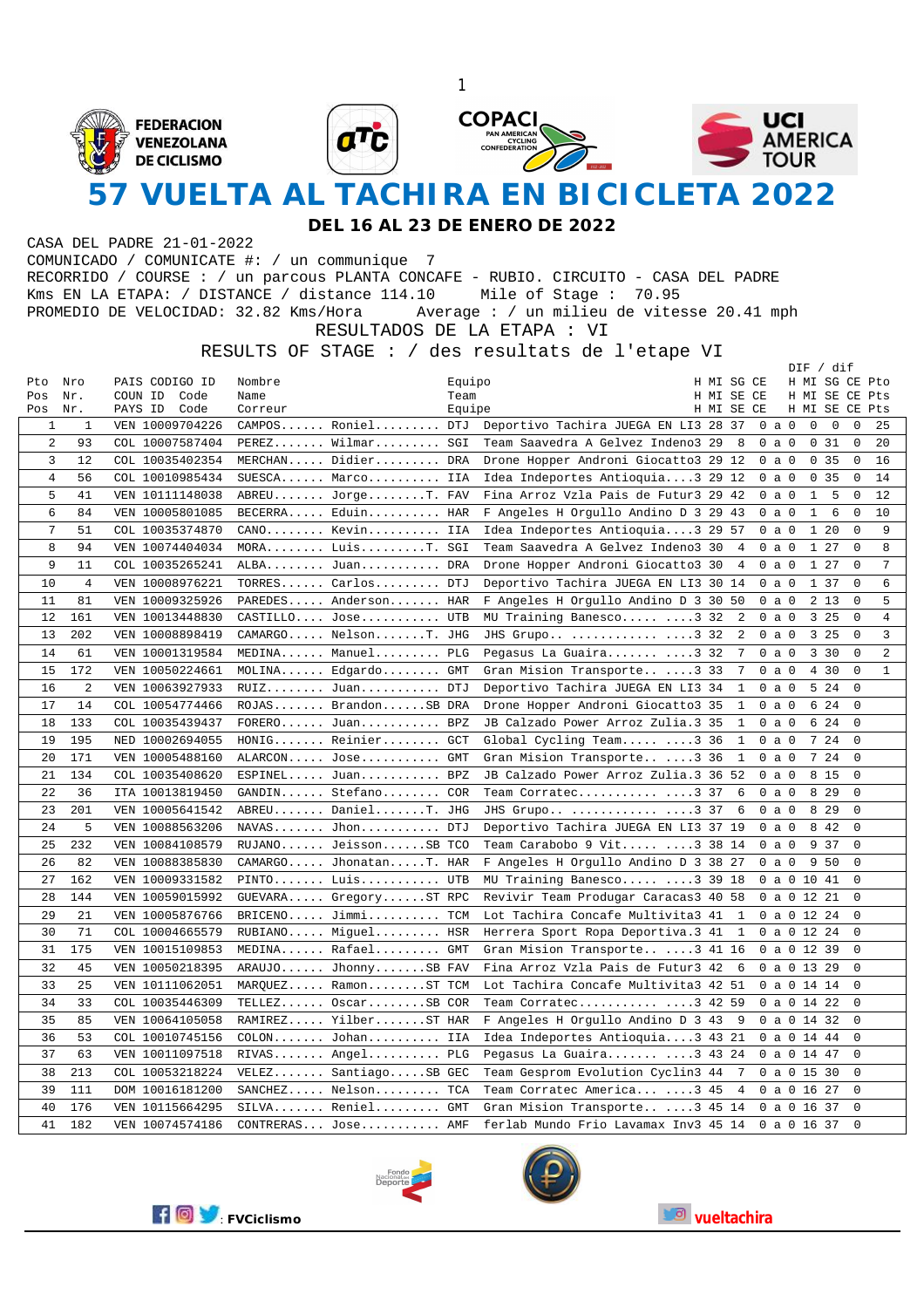

**DEL 16 AL 23 DE ENERO DE 2022**

CASA DEL PADRE 21-01-2022 COMUNICADO / COMUNICATE #: / un communique 7 RECORRIDO / COURSE : / un parcous PLANTA CONCAFE - RUBIO. CIRCUITO - CASA DEL PADRE Kms EN LA ETAPA: / DISTANCE / distance 114.10 Mile of Stage : 70.95 PROMEDIO DE VELOCIDAD: 32.82 Kms/Hora Average : / un milieu de vitesse 20.41 mph RESULTADOS DE LA ETAPA : VI

RESULTS OF STAGE : / des resultats de l'etape VI

|              |                |                 |                        |        |                                      |            |              |               | DIF / dif        |       |             |                |
|--------------|----------------|-----------------|------------------------|--------|--------------------------------------|------------|--------------|---------------|------------------|-------|-------------|----------------|
| Pto          | Nro            | PAIS CODIGO ID  | Nombre                 | Equipo |                                      | H MI SG CE |              |               | H MI SG CE Pto   |       |             |                |
| Pos          | Nr.            | COUN ID<br>Code | Name                   | Team   |                                      | H MI SE CE |              |               | H MI SE CE Pts   |       |             |                |
| Pos          | Nr.            | PAYS ID Code    | Correur                | Equipe |                                      | H MI SE CE |              |               | H MI SE CE Pts   |       |             |                |
| $\mathbf{1}$ | 1              | VEN 10009704226 | CAMPOS Roniel DTJ      |        | Deportivo Tachira JUEGA EN LI3 28 37 |            |              | $0$ a $0$     | $\overline{0}$   | 0     | 0           | 25             |
| 2            | 93             | COL 10007587404 | PEREZ Wilmar SGI       |        | Team Saavedra A Gelvez Indeno3 29    |            | 8            | 0 a 0         |                  | 0.31  | 0           | 20             |
| 3            | 12             | COL 10035402354 | MERCHAN Didier DRA     |        | Drone Hopper Androni Giocatto3 29 12 |            |              | $0$ a $0$     |                  | 0, 35 | $\mathbf 0$ | 16             |
| 4            | 56             | COL 10010985434 | SUESCA Marco IIA       |        | Idea Indeportes Antioquia3 29 12     |            |              | $0$ a $0$     | 0                | 35    | $\mathbf 0$ | 14             |
| 5            | 41             | VEN 10111148038 | ABREU JorgeT. FAV      |        | Fina Arroz Vzla Pais de Futur3 29    |            | 42           | 0<br>a        | 0<br>$\mathbf 1$ | 5     | $\mathbf 0$ | 12             |
| 6            | 84             | VEN 10005801085 | $BECERRA$ . Eduin HAR  |        | F Angeles H Orgullo Andino D 3 29 43 |            |              | $0$ a $0$     | $\mathbf{1}$     | 6     | $\mathbf 0$ | 10             |
| 7            | 51             | COL 10035374870 | CANO Kevin IIA         |        | Idea Indeportes Antioquia3 29 57     |            |              | $0$ a $0$     |                  | 1 20  | $\mathbf 0$ | 9              |
| 8            | 94             | VEN 10074404034 | MORA LuisT. SGI        |        | Team Saavedra A Gelvez Indeno3 30    |            | 4            | $0$ a $0$     |                  | 1 27  | $\Omega$    | 8              |
| 9            | 11             | COL 10035265241 | ALBA Juan DRA          |        | Drone Hopper Androni Giocatto3 30    |            | 4            | $0$ a $0$     |                  | 1 27  | $\mathsf 0$ | 7              |
| 10           | $\overline{4}$ | VEN 10008976221 | TORRES Carlos DTJ      |        | Deportivo Tachira JUEGA EN LI3 30 14 |            |              | $0$ a $0$     |                  | 1 37  | 0           | 6              |
| 11           | 81             | VEN 10009325926 | PAREDES Anderson HAR   |        | F Angeles H Orgullo Andino D 3 30 50 |            |              | $0$ a $0$     |                  | 2 1 3 | $\mathbf 0$ | 5              |
| 12           | 161            | VEN 10013448830 | CASTILLO Jose UTB      |        | MU Training Banesco 3 32             |            | 2            | $0$ a $0$     |                  | 3 25  | $\mathbf 0$ | $\overline{4}$ |
| 13           | 202            | VEN 10008898419 | CAMARGO NelsonT. JHG   |        | JHS Grupo  3 32                      |            | 2            | $0$ a $0$     |                  | 3 2 5 | $\mathbf 0$ | 3              |
| 14           | 61             | VEN 10001319584 | MEDINA Manuel PLG      |        | Pegasus La Guaira 3 32               |            | 7            | $0$ a $0$     |                  | 3 30  | 0           | $\overline{a}$ |
| 15           | 172            | VEN 10050224661 | MOLINA Edgardo GMT     |        | Gran Mision Transporte 3 33          |            | 7            | $0$ a $0$     |                  | 4 30  | $\mathbf 0$ | $\mathbf{1}$   |
| 16           | $\overline{2}$ | VEN 10063927933 | RUIZ Juan DTJ          |        | Deportivo Tachira JUEGA EN LI3 34    |            | $\mathbf{1}$ | $0$ a $0$     |                  | 5 24  | 0           |                |
| 17           | 14             | COL 10054774466 | ROJAS BrandonSB DRA    |        | Drone Hopper Androni Giocatto3 35    |            | $\mathbf{1}$ | $0$ a $0$     |                  | 6 24  | $\mathbf 0$ |                |
| 18           | 133            | COL 10035439437 | FORERO Juan BPZ        |        | JB Calzado Power Arroz Zulia.3 35    |            | $\mathbf{1}$ | $0$ a $0$     |                  | 6 24  | $\mathbf 0$ |                |
| 19           | 195            | NED 10002694055 | HONIG Reinier GCT      |        | Global Cycling Team 3 36             |            | $\mathbf{1}$ | $0$ a $0$     |                  | 7 24  | $\mathbf 0$ |                |
| 20           | 171            | VEN 10005488160 | ALARCON Jose GMT       |        | Gran Mision Transporte 3 36          |            | 1            | $0$ a $0$     |                  | 7 24  | $\mathbf 0$ |                |
| 21           | 134            | COL 10035408620 | ESPINEL Juan BPZ       |        | JB Calzado Power Arroz Zulia.3 36 52 |            |              | $0$ a $0$     |                  | 8 1 5 | $\mathbf 0$ |                |
| 22           | 36             | ITA 10013819450 | GANDIN Stefano         | COR    | Team Corratec 3 37                   |            | 6            | $0$ a $0$     |                  | 8 2 9 | $\mathbf 0$ |                |
| 23           | 201            | VEN 10005641542 | ABREU DanielT. JHG     |        | JHS Grupo  3 37                      |            | 6            | $0$ a $0$     |                  | 8 2 9 | $\mathbf 0$ |                |
| 24           | 5              | VEN 10088563206 |                        |        | Deportivo Tachira JUEGA EN LI3 37 19 |            |              | $0$ a $0$     |                  | 8 4 2 | $\mathbf 0$ |                |
| 25           | 232            | VEN 10084108579 | RUJANO JeissonSB TCO   |        | Team Carabobo 9 Vit $\ldots$ 3 38 14 |            |              | $0$ a $0$     |                  | 9 3 7 | $\Omega$    |                |
| 26           | 82             | VEN 10088385830 | CAMARGO JhonatanT. HAR |        | F Angeles H Orgullo Andino D 3 38 27 |            |              | $0$ a $0$     |                  | 9 50  | $\mathbf 0$ |                |
| 27           | 162            | VEN 10009331582 | PINTO Luis UTB         |        | MU Training Banesco 3 39 18          |            |              | 0a01041       |                  |       | $\mathbf 0$ |                |
| 28           | 144            | VEN 10059015992 | GUEVARA GregoryST RPC  |        | Revivir Team Produgar Caracas3 40 58 |            |              | 0a01221       |                  |       | $\mathbf 0$ |                |
| 29           | 21             | VEN 10005876766 | $BRICENO$ $Jimmi$ TCM  |        | Lot Tachira Concafe Multivita3 41    |            | 1            | 0a01224       |                  |       | $\mathbf 0$ |                |
| 30           | 71             | COL 10004665579 | RUBIANO Miguel HSR     |        | Herrera Sport Ropa Deportiva.3 41    |            | 1            | 0a01224       |                  |       | $\mathbf 0$ |                |
| 31           | 175            | VEN 10015109853 | MEDINA Rafael GMT      |        | Gran Mision Transporte 3 41 16       |            |              | 0a01239       |                  |       | $\mathbf 0$ |                |
| 32           | 45             | VEN 10050218395 | ARAUJO JhonnySB FAV    |        | Fina Arroz Vzla Pais de Futur3 42    |            | 6            | $0$ a 0 13 29 |                  |       | $\mathbf 0$ |                |
| 33           | 25             | VEN 10111062051 | MARQUEZ RamonST TCM    |        | Lot Tachira Concafe Multivita3 42 51 |            |              | 0a01414       |                  |       | $\mathbf 0$ |                |
| 34           | 33             | COL 10035446309 | TELLEZ OscarSB COR     |        | Team Corratec 3 42 59                |            |              | 0a01422       |                  |       | $\mathbf 0$ |                |
| 35           | 85             | VEN 10064105058 | RAMIREZ YilberST HAR   |        | F Angeles H Orgullo Andino D 3 43    |            | -9           | 0a01432       |                  |       | $\mathbf 0$ |                |
| 36           | 53             | COL 10010745156 | $COLON$ Johan IIA      |        | Idea Indeportes Antioquia3 43 21     |            |              | 0 a 0 14 44   |                  |       | 0           |                |
| 37           | 63             | VEN 10011097518 | RIVAS Angel PLG        |        | Pegasus La Guaira 3 43 24            |            |              | 0a01447       |                  |       | $\Omega$    |                |
| 38           | 213            | COL 10053218224 | VELEZ SantiagoSB GEC   |        | Team Gesprom Evolution Cyclin3 44    |            | -7           | $0$ a 0 15 30 |                  |       | $\mathbf 0$ |                |
| 39           | 111            | DOM 10016181200 | SANCHEZ Nelson TCA     |        | Team Corratec America 3 45           |            | 4            | 0a01627       |                  |       | $\mathbf 0$ |                |
| 40           | 176            | VEN 10115664295 | SILVA Reniel GMT       |        | Gran Mision Transporte 3 45 14       |            |              | 0a01637       |                  |       | $\Omega$    |                |
| 41           | 182            | VEN 10074574186 | CONTRERAS Jose         | AMF    | ferlab Mundo Frio Lavamax Inv3 45 14 |            |              | 0a01637       |                  |       | $\Omega$    |                |





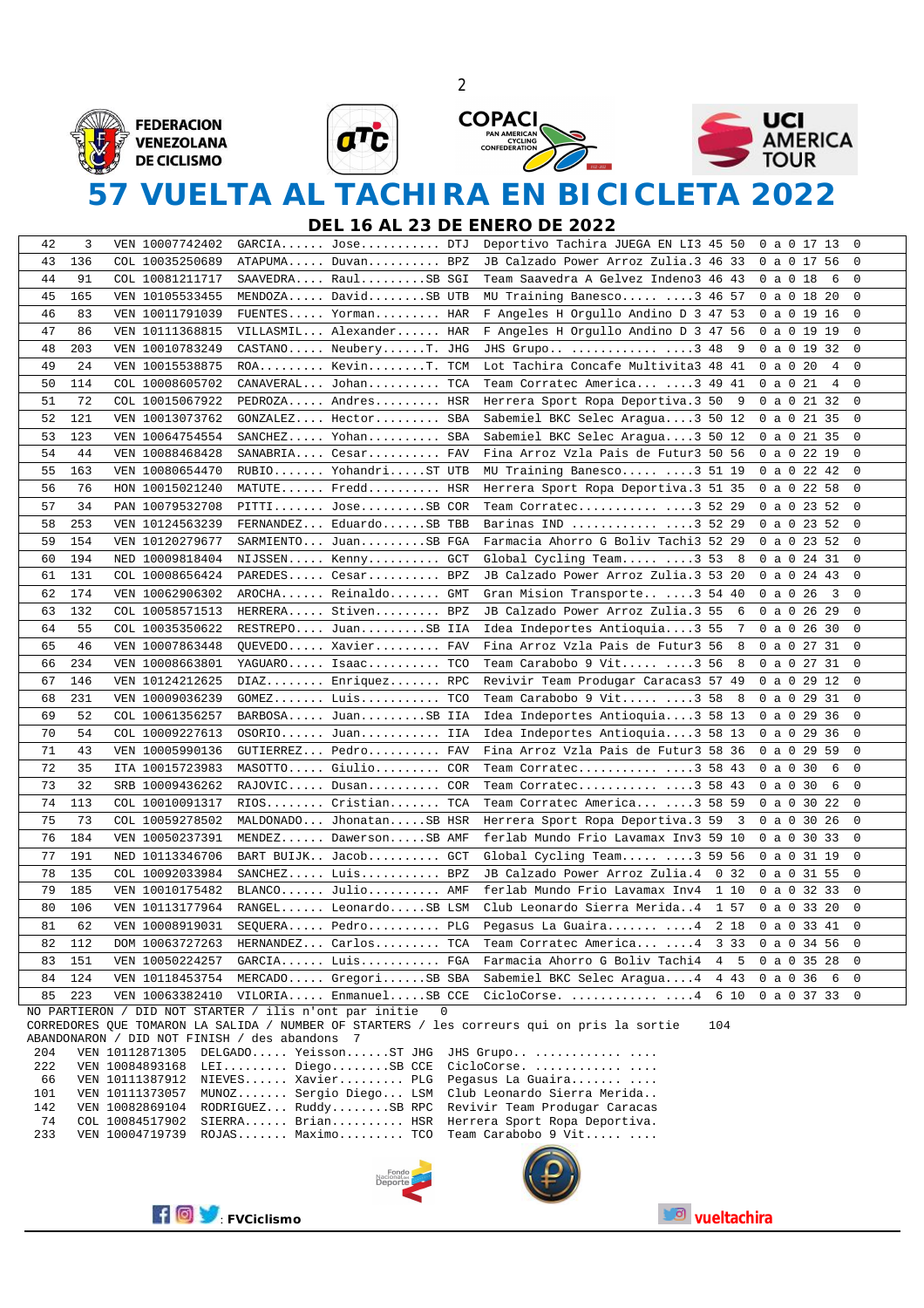







# **57 VUELTA AL TACHIRA EN BICICLETA 2022**

2

**DEL 16 AL 23 DE ENERO DE 2022**

| 42 | 3   | VEN 10007742402                                        | GARCIA Jose DTJ               |             | Deportivo Tachira JUEGA EN LI3 45 50<br>0<br>0 a 0 17 13                                          |  |
|----|-----|--------------------------------------------------------|-------------------------------|-------------|---------------------------------------------------------------------------------------------------|--|
| 43 | 136 | COL 10035250689                                        | ATAPUMA Duvan BPZ             |             | 0<br>JB Calzado Power Arroz Zulia.3 46 33<br>0a01756                                              |  |
| 44 | 91  | COL 10081211717                                        | $SAAVEDRA$ $Raul$ $SBI$ $SGI$ |             | 0<br>Team Saavedra A Gelvez Indeno3 46 43<br>0 a 0 18<br>6                                        |  |
| 45 | 165 | VEN 10105533455                                        | MENDOZA DavidSB UTB           |             | 0<br>MU Training Banesco 3 46 57<br>0a01820                                                       |  |
| 46 | 83  | VEN 10011791039                                        | FUENTES Yorman HAR            |             | $\mathbf 0$<br>F Angeles H Orgullo Andino D 3 47 53<br>0a01916                                    |  |
| 47 | 86  | VEN 10111368815                                        | VILLASMIL Alexander HAR       |             | F Angeles H Orgullo Andino D 3 47 56<br>0<br>0a01919                                              |  |
| 48 | 203 | VEN 10010783249                                        | CASTANO NeuberyT. JHG         |             | $\mathbf 0$<br>JHS Grupo  3 48<br>-9<br>0a01932                                                   |  |
| 49 | 24  | VEN 10015538875                                        | ROA KevinT. TCM               |             | $\mathbf 0$<br>Lot Tachira Concafe Multivita3 48 41<br>$0$ a $0$ 20<br>4                          |  |
| 50 | 114 | COL 10008605702                                        | CANAVERAL Johan TCA           |             | $\mathbf 0$<br>Team Corratec America 3 49 41<br>0a021<br>4                                        |  |
| 51 | 72  | COL 10015067922                                        | PEDROZA Andres HSR            |             | 0<br>Herrera Sport Ropa Deportiva.3 50<br>9<br>0a02132                                            |  |
| 52 | 121 | VEN 10013073762                                        | GONZALEZ Hector SBA           |             | $0$ a $0$ 21 35<br>$\mathbf 0$<br>Sabemiel BKC Selec Aragua3 50 12                                |  |
| 53 | 123 | VEN 10064754554                                        | SANCHEZ Yohan SBA             |             | $\mathbf 0$<br>Sabemiel BKC Selec Aragua3 50 12<br>$0$ a $0$ 21 35                                |  |
| 54 | 44  | VEN 10088468428                                        | SANABRIA Cesar FAV            |             | Fina Arroz Vzla Pais de Futur3 50 56<br>0a02219<br>0                                              |  |
| 55 | 163 | VEN 10080654470                                        | RUBIO YohandriST UTB          |             | $\mathbf 0$<br>MU Training Banesco 3 51 19<br>0a02242                                             |  |
| 56 | 76  | HON 10015021240                                        | $MATUTE$ $Fred.$ $HSR$        |             | 0<br>Herrera Sport Ropa Deportiva.3 51 35<br>$0$ a 0 22 58                                        |  |
| 57 | 34  | PAN 10079532708                                        | PITTI JoseSB COR              |             | 0a02352<br>0<br>Team Corratec $\ldots$ 52 29                                                      |  |
| 58 | 253 | VEN 10124563239                                        | FERNANDEZ EduardoSB TBB       |             | $0$ a 0 23 52<br>0<br>Barinas IND  3 52 29                                                        |  |
| 59 | 154 | VEN 10120279677                                        | SARMIENTO JuanSB FGA          |             | 0<br>Farmacia Ahorro G Boliv Tachi3 52 29<br>0a02352                                              |  |
| 60 | 194 | NED 10009818404                                        | NIJSSEN Kenny GCT             |             | 0a02431<br>0<br>Global Cycling Team 3 53<br>-8                                                    |  |
| 61 | 131 | COL 10008656424                                        | PAREDES Cesar BPZ             |             | 0 a 0 24 43<br>$\mathbf 0$<br>JB Calzado Power Arroz Zulia.3 53 20                                |  |
| 62 | 174 | VEN 10062906302                                        | AROCHA Reinaldo GMT           |             | $\mathbf 0$<br>0 a 0 26<br>$\overline{\mathbf{3}}$<br>Gran Mision Transporte 3 54 40              |  |
| 63 | 132 | COL 10058571513                                        | HERRERA Stiven BPZ            |             | JB Calzado Power Arroz Zulia.3 55<br>0<br>6<br>0a02629                                            |  |
| 64 | 55  | COL 10035350622                                        | RESTREPO JuanSB IIA           |             | $\mathbf 0$<br>Idea Indeportes Antioquia3 55<br>7<br>0a02630                                      |  |
| 65 | 46  | VEN 10007863448                                        | QUEVEDO Xavier FAV            |             | $\mathsf 0$<br>$0$ a $0$ $27$ $31$<br>Fina Arroz Vzla Pais de Futur3 56<br>8                      |  |
| 66 | 234 | VEN 10008663801                                        | YAGUARO Isaac TCO             |             | Team Carabobo 9 Vit 3 56<br>0a02731<br>0<br>8                                                     |  |
| 67 | 146 | VEN 10124212625                                        | $DIAZ$ Enriquez RPC           |             | 0<br>Revivir Team Produgar Caracas3 57 49<br>0a02912                                              |  |
| 68 | 231 | VEN 10009036239                                        | $GOMEZ$ $Luis$ TCO            |             | $\mathbf 0$<br>Team Carabobo 9 Vit $\ldots$ 58<br>0a02931<br>8                                    |  |
| 69 | 52  | COL 10061356257                                        | BARBOSA JuanSB IIA            |             | 0<br>Idea Indeportes Antioquia3 58 13<br>$0$ a 0 29 36                                            |  |
| 70 | 54  | COL 10009227613                                        | OSORIO Juan IIA               |             | Idea Indeportes Antioquia3 58 13<br>0a02936<br>0                                                  |  |
| 71 | 43  | VEN 10005990136                                        | GUTIERREZ Pedro FAV           |             | $0$ a 0 29 59<br>0<br>Fina Arroz Vzla Pais de Futur3 58 36                                        |  |
| 72 | 35  | ITA 10015723983                                        | MASOTTO Giulio COR            |             | $\mathbf 0$<br>$0$ a $0$ 30<br>6                                                                  |  |
| 73 | 32  |                                                        |                               |             | Team Corratec $\ldots$ 58 43<br>6<br>0                                                            |  |
|    | 113 | SRB 10009436262                                        | RAJOVIC Dusan COR             |             | Team Corratec3 58 43<br>$0$ a $0$ 30                                                              |  |
| 74 |     | COL 10010091317                                        | RIOS Cristian TCA             |             | Team Corratec America 3 58 59<br>0<br>0 a 0 30 22                                                 |  |
| 75 | 73  | COL 10059278502                                        | MALDONADO JhonatanSB HSR      |             | 0<br>Herrera Sport Ropa Deportiva.3 59<br>3<br>0a03026                                            |  |
| 76 | 184 | VEN 10050237391                                        | MENDEZ DawersonSB AMF         |             | 0<br>ferlab Mundo Frio Lavamax Inv3 59 10<br>0 a 0 30 33                                          |  |
| 77 | 191 | NED 10113346706                                        | BART BUIJK Jacob GCT          |             | 0<br>Global Cycling Team $\ldots$ 59 56<br>0a03119                                                |  |
| 78 | 135 | COL 10092033984                                        | SANCHEZ Luis BPZ              |             | 0<br>JB Calzado Power Arroz Zulia.4<br>0.32<br>0a03155                                            |  |
| 79 | 185 | VEN 10010175482                                        | $BLANCO. \ldots$ . Julio AMF  |             | 0<br>ferlab Mundo Frio Lavamax Inv4<br>1 10<br>0 a 0 32 33                                        |  |
| 80 | 106 | VEN 10113177964                                        | RANGEL LeonardoSB LSM         |             | Club Leonardo Sierra Merida4<br>1 57<br>0<br>0 a 0 33 20                                          |  |
| 81 | 62  | VEN 10008919031                                        | SEQUERA Pedro PLG             |             | $\mathsf 0$<br>Pegasus La Guaira 4<br>2 18<br>0a03341                                             |  |
| 82 | 112 | DOM 10063727263                                        | HERNANDEZ Carlos TCA          |             | 0<br>Team Corratec America 4<br>3 3 3<br>0 a 0 34 56                                              |  |
| 83 | 151 | VEN 10050224257                                        | GARCIA Luis FGA               |             | 0<br>Farmacia Ahorro G Boliv Tachi4<br>4<br>5<br>$0$ a 0 35 28                                    |  |
| 84 | 124 | VEN 10118453754                                        | MERCADO GregoriSB SBA         |             | $\mathsf 0$<br>0a036<br>Sabemiel BKC Selec Aragua4<br>4 4 3<br>6                                  |  |
| 85 | 223 | VEN 10063382410                                        | VILORIA EnmanuelSB CCE        |             | $0$ a 0 37 33<br>0<br>CicloCorse.   4<br>6 10                                                     |  |
|    |     | NO PARTIERON / DID NOT STARTER / ilis n'ont par initie |                               | $\mathbf 0$ | CORREDORES OUE TOMARON LA SALIDA / NUMBER OF STARTERS / les correurs qui on pris la sortie<br>104 |  |

CORREDORES QUE TOMARON LA SALIDA / NUMBER OF STARTERS / les correurs qui on pris la sortie 104 ABANDONARON / DID NOT FINISH / des abandons 7<br>204 VEN 10112871305 DELGADO Yeisson







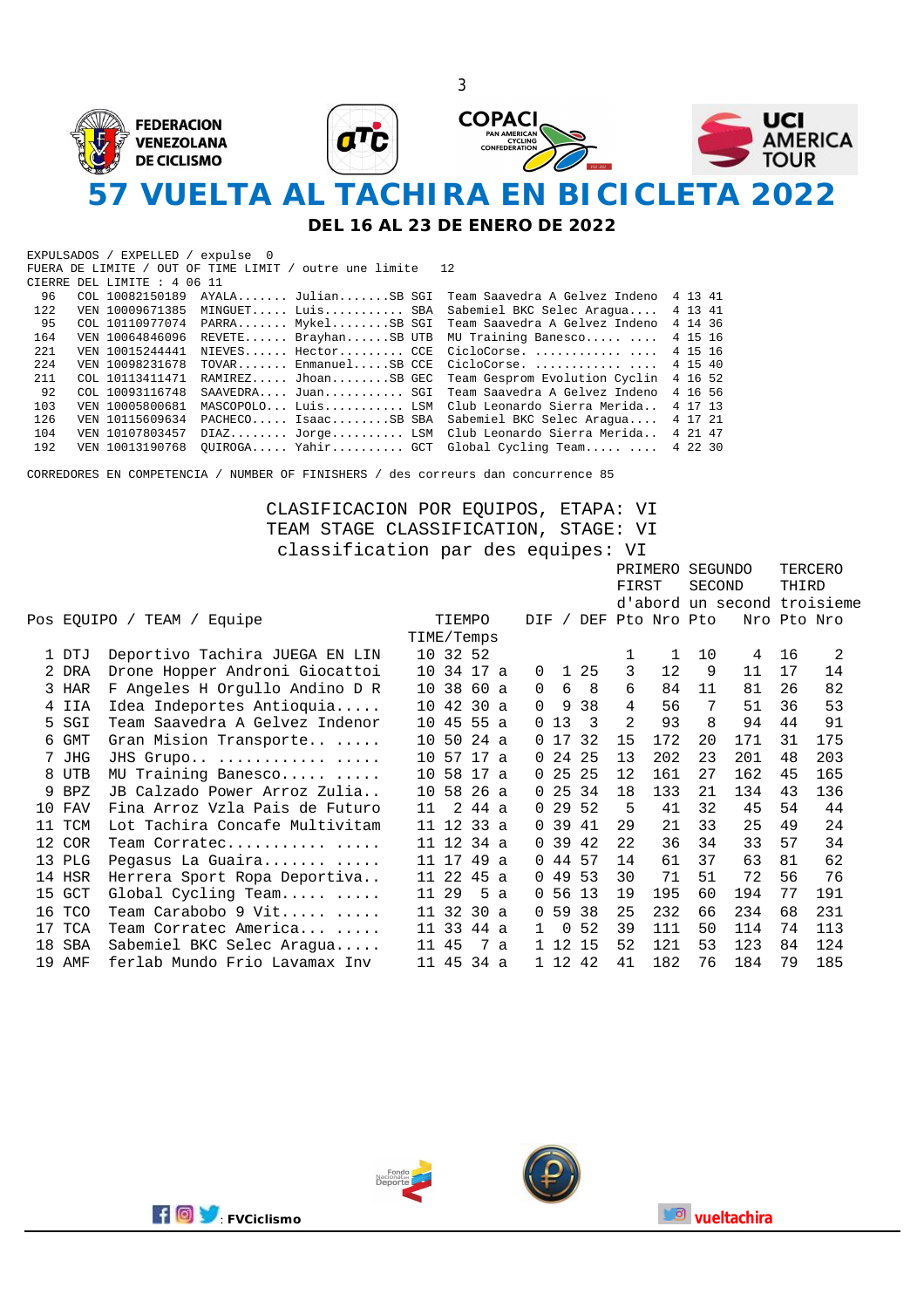

**DEL 16 AL 23 DE ENERO DE 2022**

|       | EXPULSADOS / EXPELLED / expulse 0 |                                                        |                                            |           |  |
|-------|-----------------------------------|--------------------------------------------------------|--------------------------------------------|-----------|--|
|       |                                   | FUERA DE LIMITE / OUT OF TIME LIMIT / outre une limite | 12                                         |           |  |
|       | CIERRE DEL LIMITE : 4 06 11       |                                                        |                                            |           |  |
| 96    | COL 10082150189                   | AYALA JulianSB SGI                                     | Team Saavedra A Gelvez Indeno              | 4 13 41   |  |
| 122   |                                   | VEN 10009671385 MINGUET Luis SBA                       | Sabemiel BKC Selec Araqua                  | 4 13 41   |  |
| 95    |                                   | COL 10110977074 PARRA MykelSB SGI                      | Team Saavedra A Gelvez Indeno              | 4 14 36   |  |
| 164   | VEN 10064846096                   | REVETE BrayhanSB UTB                                   | MU Training Banesco                        | 4 15 16   |  |
| 2.2.1 | VEN 10015244441                   | NIEVES Hector CCE                                      | CicloCorse.                                | 4 15 16   |  |
| 2.24  | VEN 10098231678                   | TOVAR EnmanuelSB CCE                                   | CicloCorse.                                | 4 15 40   |  |
| 211   | COL 10113411471                   | RAMIREZ JhoanSB GEC                                    | Team Gesprom Evolution Cyclin              | 4 16 52   |  |
| 92    | COL 10093116748                   | SAAVEDRA Juan SGI                                      | Team Saavedra A Gelvez Indeno              | 4 16 56   |  |
| 103   | VEN 10005800681                   | MASCOPOLO Luis LSM                                     | Club Leonardo Sierra Merida                | 4 17 13   |  |
| 126   | VEN 10115609634                   | PACHECO IsaacSB SBA                                    | Sabemiel BKC Selec Araqua                  | 4 17 21   |  |
| 104   | VEN 10107803457                   |                                                        | DIAZ Jorge LSM Club Leonardo Sierra Merida | 4 21 47   |  |
| 192   | VEN 10013190768                   |                                                        | OUIROGA Yahir GCT Global Cycling Team      | 4 2 2 3 0 |  |

CORREDORES EN COMPETENCIA / NUMBER OF FINISHERS / des correurs dan concurrence 85

#### CLASIFICACION POR EQUIPOS, ETAPA: VI TEAM STAGE CLASSIFICATION, STAGE: VI classification par des equipes: VI

|                 |            |                                |                 |              |      |              |              |                 |               | PRIMERO SEGUNDO |                   |     |                             |       | TERCERO     |
|-----------------|------------|--------------------------------|-----------------|--------------|------|--------------|--------------|-----------------|---------------|-----------------|-------------------|-----|-----------------------------|-------|-------------|
|                 |            |                                |                 |              |      |              |              |                 |               | FIRST           |                   |     | <b>SECOND</b>               | THIRD |             |
|                 |            |                                |                 |              |      |              |              |                 |               |                 |                   |     | d'abord un second troisieme |       |             |
|                 |            | Pos EOUIPO / TEAM / Equipe     |                 | TIEMPO       |      |              | <b>DIF</b>   |                 |               |                 | / DEF Pto Nro Pto |     |                             |       | Nro Pto Nro |
|                 |            |                                | TIME/Temps      |              |      |              |              |                 |               |                 |                   |     |                             |       |             |
|                 | 1 DTJ      | Deportivo Tachira JUEGA EN LIN |                 | 10 32 52     |      |              |              |                 |               | 1               | 1                 | 10  | 4                           | 16    | 2           |
|                 | 2 DRA      | Drone Hopper Androni Giocattoi |                 | 10 34 17 a   |      |              | 0            | $\mathbf{1}$    | 25            | 3               | 12                | 9   | 11                          | 17    | 14          |
|                 | 3 HAR      | F Angeles H Orgullo Andino D R |                 | 10 38 60 a   |      |              | $\Omega$     | 6               | - 8           | 6               | 84                | 11  | 81                          | 26    | 82          |
|                 | 4 IIA      | Idea Indeportes Antioquia      |                 | 10 42 30 a   |      |              | 0            | 9               | 38            | 4               | 56                | 7   | 51                          | 36    | 53          |
|                 | 5 SGI      | Team Saavedra A Gelvez Indenor |                 | 10 45 55 a   |      |              |              | 013             | $\mathcal{R}$ | 2               | 93                | 8   | 94                          | 44    | 91          |
| 6               | GMT        | Gran Mision Transporte         | 10 50           |              | 24 a |              |              | 0 <sub>17</sub> | 32            | 15              | 172               | 20  | 171                         | 31    | 175         |
|                 | 7 JHG      | JHS Grupo                      |                 | 10 57        | 17 a |              |              | $0\;24$         | -25           | 13              | 202               | 23  | 201                         | 48    | 203         |
| 8               | UTB        | MU Training Banesco            | 10              | 58           | 17 a |              |              | 0 <sub>25</sub> | 25            | 12              | 161               | 27  | 162                         | 45    | 165         |
| 9               | BPZ        | JB Calzado Power Arroz Zulia   | 10 <sup>°</sup> | 58 26 a      |      |              |              | 0, 25, 34       |               | 18              | 133               | 2.1 | 134                         | 43    | 136         |
| 10              | FAV        | Fina Arroz Vzla Pais de Futuro | 11              | 2            | 44 a |              |              | 029             | 52            | .5              | 41                | 32  | 45                          | 54    | 44          |
| 11              | TCM        | Lot Tachira Concafe Multivitam |                 | $11$ 12 33 a |      |              |              | 0.39            | 41            | 29              | 2.1               | 33  | 25                          | 49    | 24          |
| 12 <sup>°</sup> | COR        | Team Corratec                  |                 | 11 12 34 a   |      |              |              | 0.39            | 42            | 22              | 36                | 34  | 33                          | 57    | 34          |
| 13              | PLG        | Pegasus La Guaira              |                 | 11 17 49 a   |      |              |              | 0, 44, 57       |               | 14              | 61                | 37  | 63                          | 81    | 62          |
|                 | 14 HSR     | Herrera Sport Ropa Deportiva   |                 | 11 22 45 a   |      |              |              | 04953           |               | 30              | 71                | 51  | 72                          | 56    | 76          |
| 15              | GCT        | Global Cycling Team            | 11 29           |              | 5    | $\mathsf{a}$ |              | 05613           |               | 19              | 195               | 60  | 194                         | 77    | 191         |
| 16              | TCO        | Team Carabobo 9 Vit            |                 | 11 32        | 30a  |              |              | 05938           |               | 25              | 232               | 66  | 234                         | 68    | 231         |
| 17              | TCA        | Team Corratec America          |                 | 11 33        | 44 a |              | $\mathbf{1}$ | $\Omega$        | 52            | 39              | 111               | 50  | 114                         | 74    | 113         |
| 18              | <b>SBA</b> | Sabemiel BKC Selec Aragua      | 11 45           |              | 7    | $\mathsf{a}$ |              | 1 12 15         |               | 52              | 121               | 53  | 123                         | 84    | 124         |
| 19              | AMF        | ferlab Mundo Frio Lavamax Inv  |                 | 11 45        | 34 a |              |              | 1 12 42         |               | 41              | 182               | 76  | 184                         | 79    | 185         |
|                 |            |                                |                 |              |      |              |              |                 |               |                 |                   |     |                             |       |             |





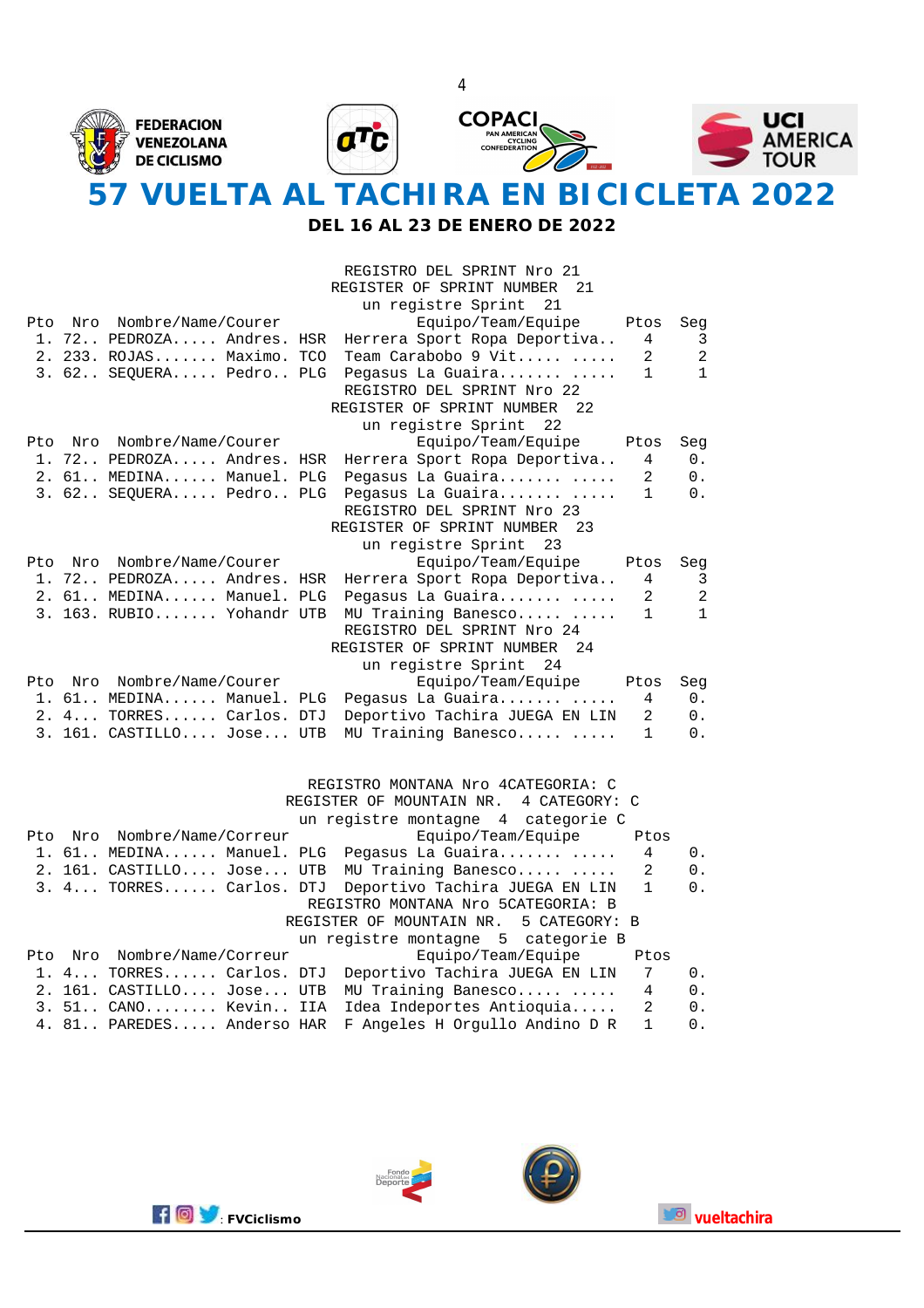

**DEL 16 AL 23 DE ENERO DE 2022**

|      |     |                           | REGISTRO DEL SPRINT Nro 21<br>REGISTER OF SPRINT NUMBER<br>21<br>un registre Sprint 21 |              |              |
|------|-----|---------------------------|----------------------------------------------------------------------------------------|--------------|--------------|
| Pto  |     | Nro Nombre/Name/Courer    | Equipo/Team/Equipe                                                                     | Ptos         | Seg          |
|      |     | 1. 72 PEDROZA Andres. HSR | Herrera Sport Ropa Deportiva                                                           | 4            | 3            |
|      |     | 2. 233. ROJAS Maximo. TCO | Team Carabobo 9 Vit                                                                    | 2            | 2            |
|      |     | 3. 62 SEQUERA Pedro PLG   | Pegasus La Guaira                                                                      | $\mathbf{1}$ | $\mathbf{1}$ |
|      |     |                           | REGISTRO DEL SPRINT Nro 22                                                             |              |              |
|      |     |                           | REGISTER OF SPRINT NUMBER<br>22                                                        |              |              |
|      |     |                           | un registre Sprint 22                                                                  |              |              |
| Pto. |     | Nro Nombre/Name/Courer    | Equipo/Team/Equipe                                                                     | Ptos         | Seq          |
|      |     | 1. 72 PEDROZA Andres. HSR | Herrera Sport Ropa Deportiva                                                           | 4            | 0.           |
|      |     | 2. 61 MEDINA Manuel. PLG  | Pegasus La Guaira                                                                      | 2            | 0.           |
|      |     | 3. 62 SEQUERA Pedro PLG   | Pegasus La Guaira                                                                      | 1            | 0.           |
|      |     |                           | REGISTRO DEL SPRINT Nro 23                                                             |              |              |
|      |     |                           | REGISTER OF SPRINT NUMBER<br>23                                                        |              |              |
|      |     |                           | un registre Sprint 23                                                                  |              |              |
| Pto  |     | Nro Nombre/Name/Courer    | Equipo/Team/Equipe                                                                     | Ptos         | Seg          |
|      |     | 1. 72 PEDROZA Andres. HSR | Herrera Sport Ropa Deportiva                                                           | 4            | 3            |
|      |     | 2. 61 MEDINA Manuel. PLG  | Pegasus La Guaira                                                                      | 2            | 2            |
|      |     | 3. 163. RUBIO Yohandr UTB | MU Training Banesco                                                                    | $\mathbf{1}$ | $\mathbf{1}$ |
|      |     |                           | REGISTRO DEL SPRINT Nro 24                                                             |              |              |
|      |     |                           | REGISTER OF SPRINT NUMBER<br>24                                                        |              |              |
|      |     |                           | un registre Sprint 24                                                                  |              |              |
| Pto  | Nro | Nombre/Name/Courer        | Equipo/Team/Equipe                                                                     | Ptos         | Seq          |
|      |     | 1. 61 MEDINA Manuel. PLG  | Pegasus La Guaira                                                                      | 4            | $0$ .        |
|      |     | 2. 4 TORRES Carlos. DTJ   | Deportivo Tachira JUEGA EN LIN                                                         | 2            | 0.           |
|      |     | 3. 161. CASTILLO Jose UTB | MU Training Banesco                                                                    | 1            | 0.           |
|      |     |                           |                                                                                        |              |              |

#### REGISTRO MONTANA Nro 4CATEGORIA: C

|  |                             | REGISTER OF MOUNTAIN NR. 4 CATEGORY: C                   |                      |  |
|--|-----------------------------|----------------------------------------------------------|----------------------|--|
|  |                             | un registre montagne 4 categorie C                       |                      |  |
|  | Pto Nro Nombre/Name/Correur | Equipo/Team/Equipe                                       | Ptos                 |  |
|  |                             | 1. 61 MEDINA Manuel. PLG Pegasus La Guaira               | $\overline{4}$<br>0. |  |
|  |                             | 2. 161. CASTILLO Jose UTB MU Training Banesco            | -2<br>0.             |  |
|  |                             | 3. 4 TORRES Carlos. DTJ Deportivo Tachira JUEGA EN LIN 1 | 0.                   |  |
|  |                             | REGISTRO MONTANA Nro 5CATEGORIA: B                       |                      |  |
|  |                             | REGISTER OF MOUNTAIN NR. 5 CATEGORY: B                   |                      |  |
|  |                             | un registre montagne 5 categorie B                       |                      |  |
|  | Pto Nro Nombre/Name/Correur | Equipo/Team/Equipe                                       | Ptos                 |  |
|  |                             | 1. 4 TORRES Carlos. DTJ Deportivo Tachira JUEGA EN LIN 7 | 0.                   |  |
|  |                             | 2. 161. CASTILLO Jose UTB MU Training Banesco            | 4<br>$0$ .           |  |
|  |                             | 3. 51 CANO Kevin IIA Idea Indeportes Antioquia           | 2<br>$0$ .           |  |
|  |                             | 4. 81 PAREDES Anderso HAR F Angeles H Orgullo Andino D R | 1<br>0.              |  |





4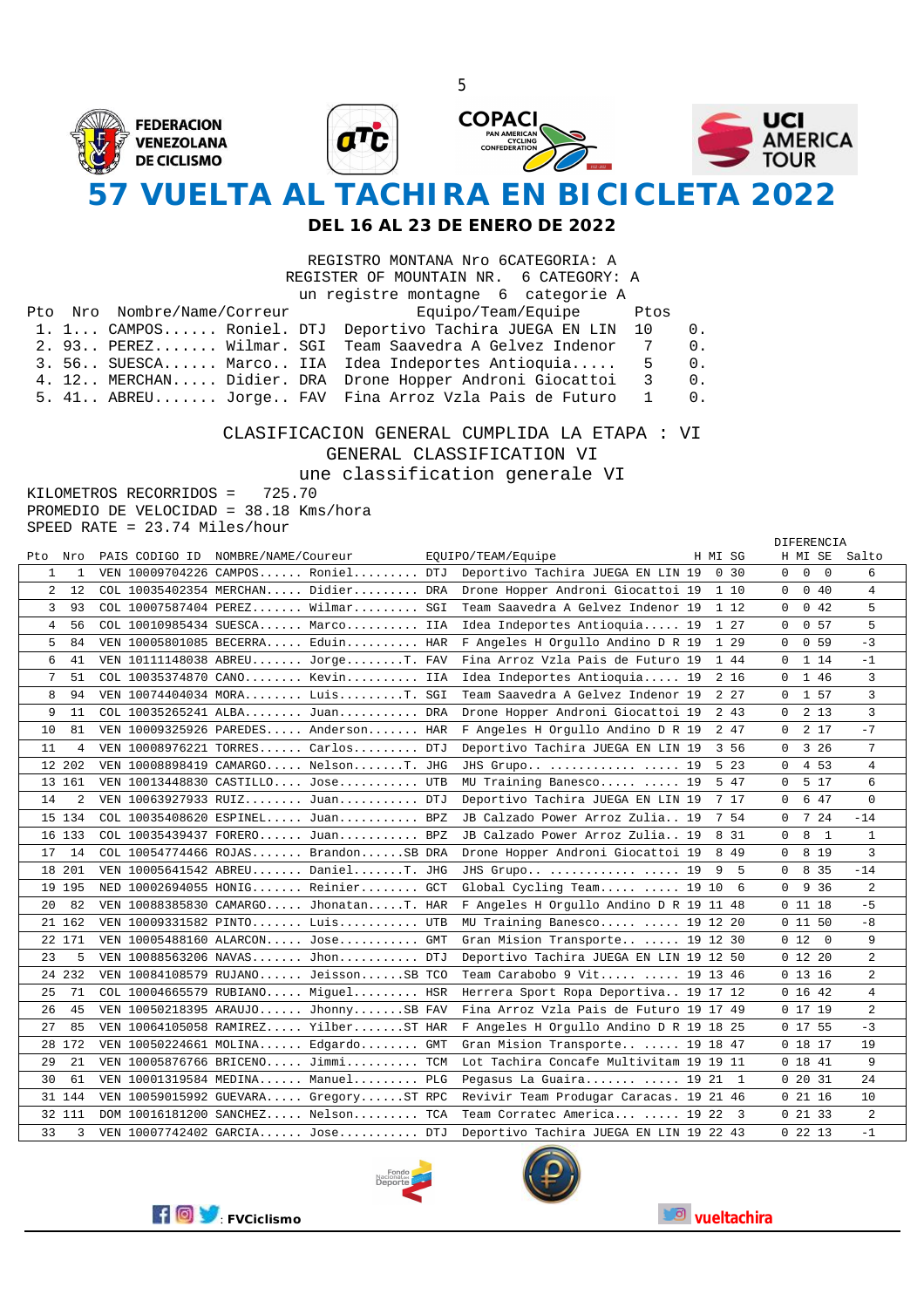

#### **DEL 16 AL 23 DE ENERO DE 2022**

|  |                             |  | REGISTRO MONTANA Nro 6CATEGORIA: A                         |                |
|--|-----------------------------|--|------------------------------------------------------------|----------------|
|  |                             |  | REGISTER OF MOUNTAIN NR. 6 CATEGORY: A                     |                |
|  |                             |  | un registre montagne 6 categorie A                         |                |
|  | Pto Nro Nombre/Name/Correur |  | Equipo/Team/Equipe Ptos                                    |                |
|  |                             |  | 1. 1 CAMPOS Roniel. DTJ Deportivo Tachira JUEGA EN LIN 10  | 0.             |
|  |                             |  | 2. 93 PEREZ Wilmar. SGI Team Saavedra A Gelvez Indenor 7   | 0.             |
|  |                             |  | 3.56SUESCAMarcoIIA Idea Indeportes Antioquia 5             | 0 <sub>1</sub> |
|  |                             |  | 4. 12 MERCHAN Didier. DRA Drone Hopper Androni Giocattoi 3 | $0$ .          |

5. 41.. ABREU....... Jorge.. FAV Fina Arroz Vzla Pais de Futuro 1 0.

#### CLASIFICACION GENERAL CUMPLIDA LA ETAPA : VI GENERAL CLASSIFICATION VI

une classification generale VI

KILOMETROS RECORRIDOS = 725.70 PROMEDIO DE VELOCIDAD = 38.18 Kms/hora SPEED RATE = 23.74 Miles/hour

|         |        |                                        |                                         |         |                         |             | DIFERENCIA          |                |
|---------|--------|----------------------------------------|-----------------------------------------|---------|-------------------------|-------------|---------------------|----------------|
| Pto Nro |        | PAIS CODIGO ID NOMBRE/NAME/Coureur     | EQUIPO/TEAM/Equipe                      | H MI SG |                         |             | H MI SE             | Salto          |
| 1       | 1      | VEN $10009704226$ CAMPOS Roniel DTJ    | Deportivo Tachira JUEGA EN LIN 19       |         | 0 3 0                   | 0           | 0<br>$\overline{0}$ | 6              |
| 2       | 12     | COL 10035402354 MERCHAN Didier DRA     | Drone Hopper Androni Giocattoi 19       |         | 1 10                    | 0           | 040                 | 4              |
| 3       | 93     | COL 10007587404 PEREZ Wilmar SGI       | Team Saavedra A Gelvez Indenor 19       |         | 1 12                    | $\mathbf 0$ | 0.42                | 5              |
| 4       | 56     | COL 10010985434 SUESCA Marco IIA       | Idea Indeportes Antioquia 19            |         | 1 27                    | $\Omega$    | 0.57                | 5              |
| 5       | 84     | VEN 10005801085 BECERRA Eduin HAR      | F Angeles H Orgullo Andino D R 19       |         | 1 29                    | $\Omega$    | 0.59                | $-3$           |
| 6       | 41     | VEN 10111148038 ABREU JorgeT. FAV      | Fina Arroz Vzla Pais de Futuro 19       |         | 144                     | $\Omega$    | 1 14                | $-1$           |
| 7       | 51     | COL 10035374870 CANO Kevin IIA         | Idea Indeportes Antioquia 19            |         | 2 16                    | $\Omega$    | 1 46                | 3              |
| 8       | 94     | VEN 10074404034 MORA LuisT. SGI        | Team Saavedra A Gelvez Indenor 19       |         | 2 2 7                   | $\mathbf 0$ | 1 57                | 3              |
| 9       | 11     | COL 10035265241 ALBA Juan DRA          | Drone Hopper Androni Giocattoi 19       |         | 2 4 3                   | 0           | 2 1 3               | 3              |
| 10      | 81     | VEN 10009325926 PAREDES Anderson HAR   | F Angeles H Orgullo Andino D R 19       |         | 2 47                    | 0           | 2 17                | $-7$           |
| 11      | 4      | VEN 10008976221 TORRES Carlos DTJ      | Deportivo Tachira JUEGA EN LIN 19       |         | 3 56                    | 0           | 3 26                | 7              |
|         | 12 202 | VEN 10008898419 CAMARGO NelsonT. JHG   | JHS Grupo   19                          |         | 5 2 3                   | $\Omega$    | 4 53                | 4              |
|         | 13 161 | VEN $10013448830$ CASTILLO Jose UTB    | MU Training Banesco  19                 |         | 5 47                    | $\Omega$    | 5 17                | 6              |
| 14      | 2      | VEN 10063927933 RUIZ Juan DTJ          | Deportivo Tachira JUEGA EN LIN 19       |         | 717                     | $\mathbf 0$ | 6 47                | 0              |
|         | 15 134 | COL 10035408620 ESPINEL Juan BPZ       | JB Calzado Power Arroz Zulia 19         |         | 7 54                    | 0           | 7 24                | $-14$          |
|         | 16 133 | COL 10035439437 FORERO Juan BPZ        | JB Calzado Power Arroz Zulia 19         |         | 8 31                    | 0           | 8<br>$\mathbf{1}$   | $\mathbf{1}$   |
| 17      | - 14   | COL 10054774466 ROJAS BrandonSB DRA    | Drone Hopper Androni Giocattoi 19       |         | 8 4 9                   | 0           | 8 1 9               | 3              |
|         | 18 201 | VEN 10005641542 ABREU DanielT. JHG     | JHS Grupo   19                          |         | 9 5                     | $\Omega$    | 8 3 5               | $-14$          |
|         | 19 195 | NED 10002694055 HONIG Reinier GCT      | Global Cycling Team  19 10              |         | -6                      | $\Omega$    | 9 36                | $\overline{a}$ |
| 20      | 82     | VEN 10088385830 CAMARGO JhonatanT. HAR | F Angeles H Orgullo Andino D R 19 11 48 |         |                         |             | 01118               | $-5$           |
|         | 21 162 | VEN 10009331582 PINTO Luis UTB         | MU Training Banesco  19 12 20           |         |                         |             | 01150               | $-8$           |
|         | 22 171 | VEN $10005488160$ ALARCON Jose GMT     | Gran Mision Transporte  19 12 30        |         |                         | 012         | $\overline{0}$      | 9              |
| 23      | 5      | VEN 10088563206 NAVAS Jhon DTJ         | Deportivo Tachira JUEGA EN LIN 19 12 50 |         |                         |             | $0$ 12 20           | 2              |
|         | 24 232 | VEN 10084108579 RUJANO JeissonSB TCO   | Team Carabobo 9 Vit  19 13 46           |         |                         |             | 01316               | $\overline{a}$ |
| 25      | 71     | COL 10004665579 RUBIANO Miguel HSR     | Herrera Sport Ropa Deportiva 19 17 12   |         |                         |             | 01642               | 4              |
| 26      | 45     | VEN 10050218395 ARAUJO JhonnySB FAV    | Fina Arroz Vzla Pais de Futuro 19 17 49 |         |                         |             | 01719               | 2              |
| 27      | 85     | VEN 10064105058 RAMIREZ YilberST HAR   | F Angeles H Orgullo Andino D R 19 18 25 |         |                         |             | 0 17 55             | $-3$           |
|         | 28 172 | VEN 10050224661 MOLINA Edgardo GMT     | Gran Mision Transporte  19 18 47        |         |                         |             | 0 18 17             | 19             |
| 29      | 21     | VEN 10005876766 BRICENO Jimmi TCM      | Lot Tachira Concafe Multivitam 19 19 11 |         |                         |             | 0 18 41             | 9              |
| 30      | 61     | VEN 10001319584 MEDINA Manuel PLG      | Pegasus La Guaira $\ldots$ 19 21 1      |         |                         |             | 02031               | 24             |
|         | 31 144 | VEN 10059015992 GUEVARA GregoryST RPC  | Revivir Team Produgar Caracas. 19 21 46 |         |                         |             | 02116               | 10             |
|         | 32 111 | DOM 10016181200 SANCHEZ Nelson TCA     | Team Corratec America  19 22            |         | $\overline{\mathbf{3}}$ |             | 02133               | $\overline{a}$ |
| 33      | 3      | VEN 10007742402 GARCIA Jose DTJ        | Deportivo Tachira JUEGA EN LIN 19 22 43 |         |                         |             | 0, 22, 13           | $-1$           |





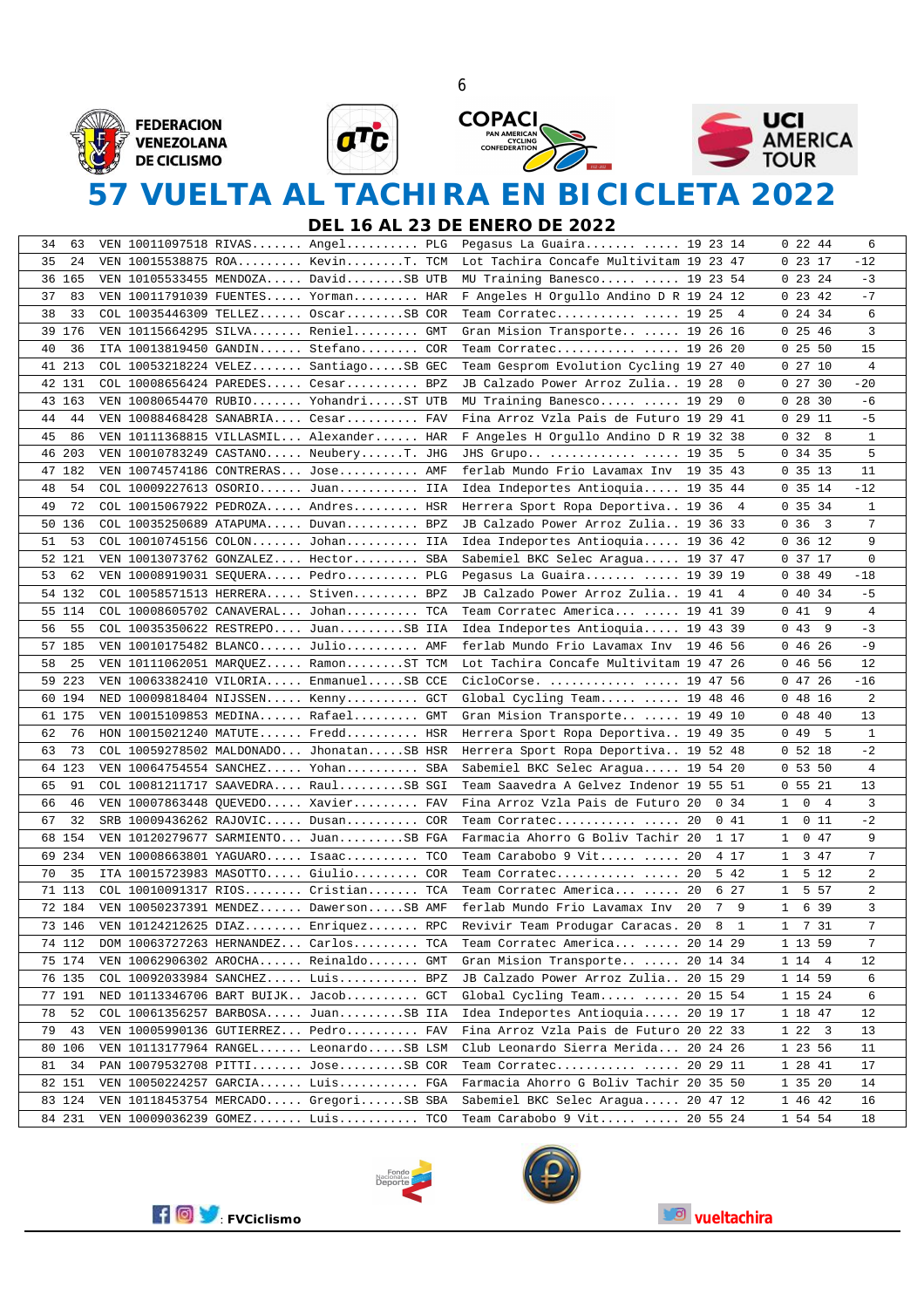







# **57 VUELTA AL TACHIRA EN BICICLETA 2022**

**DEL 16 AL 23 DE ENERO DE 2022**

| VEN 10011097518 RIVAS Angel PLG Pegasus La Guaira  19 23 14<br>34<br>63 |                                                          | $0\,22\,44$                       | 6              |
|-------------------------------------------------------------------------|----------------------------------------------------------|-----------------------------------|----------------|
| 35<br>24<br>VEN 10015538875 ROA KevinT. TCM                             | Lot Tachira Concafe Multivitam 19 23 47                  | 02317                             | -12            |
| 36 165<br>VEN $10105533455$ MENDOZA DavidSB UTB                         | MU Training Banesco  19 23 54                            | $0\,23\,24$                       | $-3$           |
| 37<br>83<br>VEN $10011791039$ FUENTES Yorman HAR                        | F Angeles H Orgullo Andino D R 19 24 12                  | 0, 23, 42                         | $-7$           |
| 38<br>33<br>COL 10035446309 TELLEZ OscarSB COR                          | Team Corratec $\ldots$ 19 25 4                           | 0, 24, 34                         | 6              |
| 39 176<br>VEN 10115664295 SILVA Reniel GMT                              | Gran Mision Transporte  19 26 16                         | 0, 25, 46                         | 3              |
| 36<br>40<br>ITA 10013819450 GANDIN Stefano COR                          | Team Corratec  19 26 20                                  | 0, 25, 50                         | 15             |
| 41 213<br>COL 10053218224 VELEZ SantiagoSB GEC                          | Team Gesprom Evolution Cycling 19 27 40                  | 02710                             | $\overline{4}$ |
| 42 131<br>COL 10008656424 PAREDES Cesar BPZ                             | JB Calzado Power Arroz Zulia 19 28<br>$^{\circ}$         | 02730                             | $-20$          |
| 43 163<br>VEN $10080654470$ RUBIO YohandriST UTB                        | MU Training Banesco  19 29<br>- 0                        | 02830                             | -6             |
| 44<br>44<br>VEN 10088468428 SANABRIA Cesar FAV                          | Fina Arroz Vzla Pais de Futuro 19 29 41                  | 0, 29, 11                         | $-5$           |
| 45<br>86<br>VEN 10111368815 VILLASMIL Alexander HAR                     | F Angeles H Orgullo Andino D R 19 32 38                  | 0, 32, 8                          | 1              |
| 46 203<br>VEN 10010783249 CASTANO NeuberyT. JHG                         | JHS Grupo   19 35 5                                      | 0, 34, 35                         | 5              |
| 47 182<br>VEN 10074574186 CONTRERAS Jose AMF                            | ferlab Mundo Frio Lavamax Inv 19 35 43                   | 0, 35, 13                         | 11             |
| 54<br>48<br>COL 10009227613 OSORIO Juan IIA                             | Idea Indeportes Antioquia 19 35 44                       | 0.35.14                           | $-12$          |
| 49<br>72<br>COL 10015067922 PEDROZA Andres HSR                          | Herrera Sport Ropa Deportiva 19 36<br>$\overline{4}$     | 0 35 34                           | 1              |
| 50 136<br>COL 10035250689 ATAPUMA Duvan BPZ                             | JB Calzado Power Arroz Zulia 19 36 33                    | 0.36<br>$\overline{\mathbf{3}}$   | 7              |
| 51<br>53<br>COL 10010745156 COLON Johan IIA                             | Idea Indeportes Antioquia 19 36 42                       | 0 36 12                           | 9              |
| 52 121<br>VEN 10013073762 GONZALEZ Hector SBA                           | Sabemiel BKC Selec Aragua 19 37 47                       | 0 37 17                           | $\mathbf 0$    |
| 53<br>62<br>VEN $10008919031$ SEQUERA Pedro PLG                         | Pegasus La Guaira $\ldots$ 19 39 19                      | 0, 38, 49                         | $-18$          |
| 54 132<br>COL 10058571513 HERRERA Stiven BPZ                            | JB Calzado Power Arroz Zulia 19 41 4                     | 04034                             | $-5$           |
| 55 114<br>COL 10008605702 CANAVERAL Johan TCA                           | Team Corratec America  19 41 39                          | 0 41<br>- 9                       | $\overline{4}$ |
| 55<br>56<br>COL 10035350622 RESTREPO JuanSB IIA                         | Idea Indeportes Antioquia 19 43 39                       | $0\;43$<br>9                      | $-3$           |
| 57 185<br>VEN 10010175482 BLANCO Julio AMF                              | ferlab Mundo Frio Lavamax Inv 19 46 56                   | 04626                             | $-9$           |
| 58<br>25<br>VEN 10111062051 MARQUEZ RamonST TCM                         | Lot Tachira Concafe Multivitam 19 47 26                  | 0 46 56                           | 12             |
| 59 223<br>VEN $10063382410$ VILORIA EnmanuelSB CCE                      | CicloCorse.   19 47 56                                   | 04726                             | $-16$          |
| 60 194<br>NED 10009818404 NIJSSEN Kenny GCT                             | Global Cycling Team  19 48 46                            | 04816                             | 2              |
| 61 175<br>VEN $10015109853$ MEDINA Rafael GMT                           | Gran Mision Transporte  19 49 10                         | 04840                             | 13             |
| 76<br>62<br>HON $10015021240$ MATUTE Fredd HSR                          | Herrera Sport Ropa Deportiva 19 49 35                    | 0 4 9<br>5                        | $\mathbf 1$    |
| 73<br>63<br>COL 10059278502 MALDONADO JhonatanSB HSR                    | Herrera Sport Ropa Deportiva 19 52 48                    | 05218                             | $-2$           |
| 64 123<br>VEN 10064754554 SANCHEZ Yohan SBA                             | Sabemiel BKC Selec Aragua 19 54 20                       | 05350                             | $\overline{4}$ |
| 91<br>65<br>COL 10081211717 SAAVEDRA RaulSB SGI                         | Team Saavedra A Gelvez Indenor 19 55 51                  | 05521                             | 13             |
| 66<br>46<br>VEN 10007863448 QUEVEDO Xavier FAV                          | Fina Arroz Vzla Pais de Futuro 20<br>0.34                | $\mathsf{O}$<br>4<br>$\mathbf{1}$ | 3              |
| 67<br>32<br>SRB 10009436262 RAJOVIC Dusan COR                           | Team Corratec  20<br>0 41                                | 011<br>$\mathbf{1}$               | $-2$           |
| 68 154<br>VEN 10120279677 SARMIENTO JuanSB FGA                          | Farmacia Ahorro G Boliv Tachir 20<br>1 17                | 047<br>$\mathbf 1$                | 9              |
| 69 234<br>VEN 10008663801 YAGUARO Isaac TCO                             | 4 17<br>Team Carabobo 9 Vit $\ldots$ 20                  | 3 47<br>1                         | $7^{\circ}$    |
| 70<br>35<br>ITA 10015723983 MASOTTO Giulio COR                          | 5 4 2<br>Team Corratec  20                               | 5 12<br>$\mathbf{1}$              | $\overline{a}$ |
| 71 113<br>$COL 10010091317 RIOS. Cristian. TCA$                         | 6 27<br>Team Corratec America  20                        | 5 5 7<br>$\mathbf{1}$             | $\overline{a}$ |
| 72 184<br>VEN 10050237391 MENDEZ DawersonSB AMF                         | 7 9<br>ferlab Mundo Frio Lavamax Inv<br>-20              | 6 3 9<br>$\mathbf{1}$             | 3              |
| VEN 10124212625 DIAZ Enriquez RPC<br>73 146                             | $\overline{1}$<br>Revivir Team Produgar Caracas. 20<br>8 | 1 7 31                            | 7              |
| 74 112<br>DOM 10063727263 HERNANDEZ Carlos TCA                          | Team Corratec America  20 14 29                          | 1 13 59                           | 7              |
| 75 174<br>VEN 10062906302 AROCHA Reinaldo<br>GMT                        | Gran Mision Transporte 20 14 34                          | 1 14 4                            | 12             |
| 76 135<br>COL 10092033984 SANCHEZ Luis BPZ                              | JB Calzado Power Arroz Zulia<br>20 15 29                 | 1 14 59                           | 6              |
| 77 191<br>NED 10113346706 BART BUIJK Jacob GCT                          | Global Cycling Team<br>20 15 54                          | 1 15 24                           | 6              |
| 52<br>78<br>COL 10061356257 BARBOSA JuanSB IIA                          | Idea Indeportes Antioquia 20 19 17                       | 1 18 47                           | 12             |
| 79<br>43<br>VEN 10005990136 GUTIERREZ Pedro FAV                         | Fina Arroz Vzla Pais de Futuro 20 22 33                  | 1223                              | 13             |
| 80 106<br>VEN $10113177964$ RANGEL LeonardoSB LSM                       | Club Leonardo Sierra Merida<br>20 24 26                  | 1 23 56                           | 11             |
| 81<br>34<br>PAN 10079532708 PITTI JoseSB COR                            | 20 29 11<br>Team Corratec                                | 1 28 41                           | 17             |
| 82 151<br>VEN 10050224257 GARCIA Luis FGA                               | Farmacia Ahorro G Boliv Tachir 20 35 50                  | 1 35 20                           | 14             |
| 83 124<br>VEN 10118453754 MERCADO GregoriSB SBA                         | Sabemiel BKC Selec Aragua 20 47 12                       | 1 46 42                           | 16             |
| 84 231<br>VEN 10009036239 GOMEZ Luis TCO                                | Team Carabobo 9 Vit  20 55 24                            | 1 54 54                           | 18             |





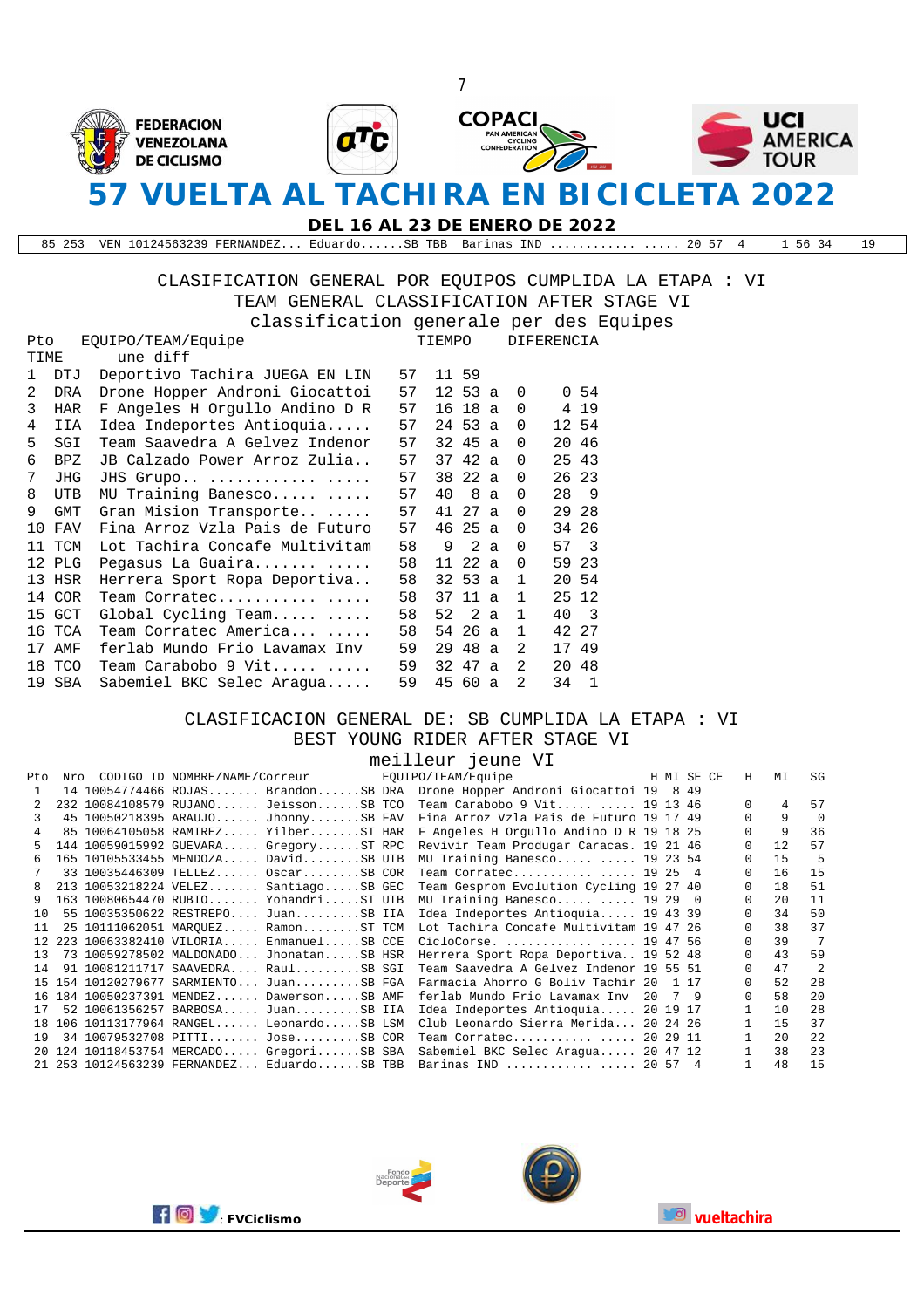

**DEL 16 AL 23 DE ENERO DE 2022**

85 253 VEN 10124563239 FERNANDEZ... Eduardo......SB TBB Barinas IND ............ ..... 20 57 4 1 56 34 19

CLASIFICATION GENERAL POR EQUIPOS CUMPLIDA LA ETAPA : VI TEAM GENERAL CLASSIFICATION AFTER STAGE VI

| classification generale per des Equipes |  |  |  |
|-----------------------------------------|--|--|--|
|                                         |  |  |  |

| Pto           |            | EOUIPO/TEAM/Equipe             |    | TIEMPO |             |   | <b>DIFERENCIA</b> |       |                         |  |
|---------------|------------|--------------------------------|----|--------|-------------|---|-------------------|-------|-------------------------|--|
| TIME          |            | une diff                       |    |        |             |   |                   |       |                         |  |
| 1             | DTJ        | Deportivo Tachira JUEGA EN LIN | 57 |        | 11 59       |   |                   |       |                         |  |
| $\mathcal{L}$ | DRA        | Drone Hopper Androni Giocattoi | 57 |        | $12\,53\ a$ |   | $\Omega$          |       | 0.54                    |  |
| 3             | HAR        | F Angeles H Orgullo Andino D R | 57 | 16     | 18 a        |   | $\Omega$          |       | 4 19                    |  |
| 4             | IIA        | Idea Indeportes Antioquia      | 57 |        | 24 53 a     |   | $\Omega$          |       | 12 54                   |  |
| 5.            | SGI        | Team Saavedra A Gelvez Indenor | 57 |        | 32 45 a     |   | $\Omega$          |       | 20 46                   |  |
| 6             | BPZ        | JB Calzado Power Arroz Zulia   | 57 |        | 37 42 a     |   | $\Omega$          | 25 43 |                         |  |
| 7             | <b>JHG</b> | JHS Grupo                      | 57 |        | 38 22 a     |   | $\Omega$          |       | 26 23                   |  |
| 8             | <b>UTB</b> | MU Training Banesco            | 57 | 40     | 8           | a | $\Omega$          | 28    | 9                       |  |
| 9             | <b>GMT</b> | Gran Mision Transporte         | 57 | 41     | 27 a        |   | $\Omega$          |       | 29 28                   |  |
| 10            | FAV        | Fina Arroz Vzla Pais de Futuro | 57 | 46     | 25 a        |   | $\Omega$          |       | 34 26                   |  |
|               | 11 TCM     | Lot Tachira Concafe Multivitam | 58 | 9      | 2a          |   | $\Omega$          | 57    | $\overline{\mathbf{3}}$ |  |
|               | 12 PLG     | Pegasus La Guaira              | 58 | 11     | 22 a        |   | $\Omega$          |       | 59 23                   |  |
|               | 13 HSR     | Herrera Sport Ropa Deportiva   | 58 |        | $32\,53\,a$ |   | 1                 |       | 20 54                   |  |
|               | 14 COR     | Team Corratec                  | 58 | 37     | 11 a        |   | 1                 |       | 25 12                   |  |
|               | 15 GCT     | Global Cycling Team            | 58 | 52     | 2 a         |   | $\mathbf{1}$      | 40    | $\overline{\mathbf{3}}$ |  |
|               | 16 TCA     | Team Corratec America          | 58 | 54     | 26 a        |   | $\mathbf{1}$      |       | 42 27                   |  |
|               | 17 AMF     | ferlab Mundo Frio Lavamax Inv  | 59 | 29     | 48 a        |   | $\mathfrak{D}$    |       | 17 49                   |  |
|               | 18 TCO     | Team Carabobo 9 Vit            | 59 | 32     | 47 a        |   | 2                 |       | 20 48                   |  |
|               | 19 SBA     | Sabemiel BKC Selec Araqua      | 59 |        | 45 60 a     |   | 2                 | 34    | -1                      |  |

#### CLASIFICACION GENERAL DE: SB CUMPLIDA LA ETAPA : VI BEST YOUNG RIDER AFTER STAGE VI

|              |     |  |                                                  | meilleur jeune VI                                                         |    |      |    |          |     |               |
|--------------|-----|--|--------------------------------------------------|---------------------------------------------------------------------------|----|------|----|----------|-----|---------------|
| Pto          | Nro |  | CODIGO ID NOMBRE/NAME/Correur FOUIPO/TEAM/Equipe | H MI SE CE                                                                |    |      |    | H        | MΙ  | SG            |
| $\mathbf{1}$ |     |  |                                                  | 14 10054774466 ROJAS BrandonSB DRA Drone Hopper Androni Giocattoi 19 8 49 |    |      |    |          |     |               |
| 2            |     |  | 232 10084108579 RUJANO JeissonSB TCO             | Team Carabobo 9 Vit  19 13 46                                             |    |      |    | $\Omega$ | 4   | 57            |
| २            |     |  | 45 10050218395 ARAUJO JhonnySB FAV               | Fina Arroz Vzla Pais de Futuro 19 17 49                                   |    |      |    |          | 9   | $\cap$        |
| 4            |     |  | 85 10064105058 RAMIREZ YilberST HAR              | F Angeles H Orgullo Andino D R 19 18 25                                   |    |      |    |          | 9   | 36            |
| 5.           |     |  | 144 10059015992 GUEVARA GregoryST RPC            | Revivir Team Produgar Caracas, 19 21 46                                   |    |      |    |          | 12  | 57            |
| 6            |     |  | 165 10105533455 MENDOZA DavidSB UTB              | MU Training Banesco  19 23 54                                             |    |      |    |          | 15  | -5            |
|              |     |  | 33 10035446309 TELLEZ OscarSB COR                | Team Corratec  19 25 4                                                    |    |      |    |          | 16  | 15            |
| 8            |     |  | 213 10053218224 VELEZ SantiagoSB GEC             | Team Gesprom Evolution Cycling 19 27 40                                   |    |      |    |          | 18  | 51            |
| 9            |     |  | 163 10080654470 RUBIO YohandriST UTB             | MU Training Banesco  19 29 0                                              |    |      |    | 0        | 2.0 | 11            |
| 1 O          |     |  | 55 10035350622 RESTREPO JuanSB IIA               | Idea Indeportes Antioquia 19 43 39                                        |    |      |    |          | 34  | 50            |
| 11           |     |  | 25 10111062051 MAROUEZ RamonST TCM               | Lot Tachira Concafe Multivitam 19 47 26                                   |    |      |    |          | 38  | 37            |
| 12           |     |  | 223 10063382410 VILORIA EnmanuelSB CCE           | CicloCorse.   19 47 56                                                    |    |      |    |          | 39  | 7             |
| 13           |     |  | 73 10059278502 MALDONADO JhonatanSB HSR          | Herrera Sport Ropa Deportiva 19 52 48                                     |    |      |    |          | 43  | 59            |
| 14           |     |  | 91 10081211717 SAAVEDRA RaulSB SGI               | Team Saavedra A Gelvez Indenor 19 55 51                                   |    |      |    |          | 47  | $\mathcal{L}$ |
|              |     |  | 15 154 10120279677 SARMIENTO JuanSB FGA          | Farmacia Ahorro G Boliv Tachir 20                                         |    | 1 17 |    |          | 52  | 2.8           |
|              |     |  | 16 184 10050237391 MENDEZ DawersonSB AMF         | ferlab Mundo Frio Lavamax Inv                                             | 20 |      | 79 | $\cap$   | 58  | 2.0           |
| 17           |     |  | 52 10061356257 BARBOSA JuanSB IIA                | Idea Indeportes Antioquia 20 19 17                                        |    |      |    |          | 10  | 2.8           |
| 1 R          |     |  | 106 10113177964 RANGEL LeonardoSB LSM            | Club Leonardo Sierra Merida 20 24 26                                      |    |      |    |          | 15  | 37            |
| 19           |     |  | 34 10079532708 PITTI JoseSB COR                  | Team Corratec  20 29 11                                                   |    |      |    |          | 2.0 | 2.2.          |
|              |     |  | 20 124 10118453754 MERCADO GregoriSB SBA         | Sabemiel BKC Selec Araqua 20 47 12                                        |    |      |    |          | 38  | 23            |
|              |     |  | 21  253  10124563239  FERNANDEZ EduardoSB TBB    | Barinas IND   20 57 4                                                     |    |      |    |          | 48  | 1.5           |



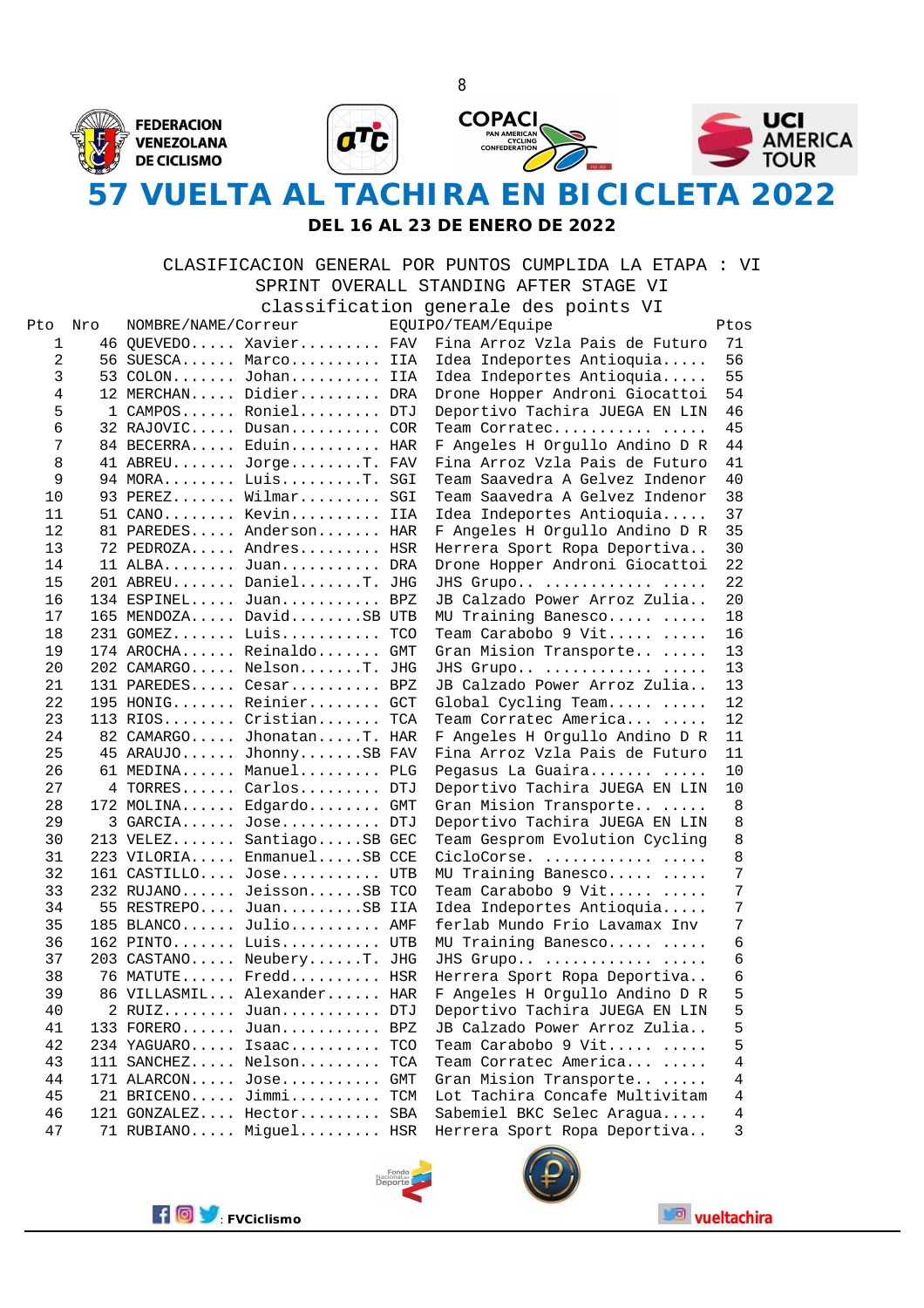

#### **DEL 16 AL 23 DE ENERO DE 2022**

#### CLASIFICACION GENERAL POR PUNTOS CUMPLIDA LA ETAPA : VI SPRINT OVERALL STANDING AFTER STAGE VI

classification generale des points VI

| Pto            | Nro | NOMBRE/NAME/Correur |                            | Ptos<br>EQUIPO/TEAM/Equipe |                                |    |  |  |
|----------------|-----|---------------------|----------------------------|----------------------------|--------------------------------|----|--|--|
| 1              |     |                     | 46 QUEVEDO Xavier FAV      |                            | Fina Arroz Vzla Pais de Futuro | 71 |  |  |
| 2              |     |                     | 56 SUESCA Marco            | IIA                        | Idea Indeportes Antioquia      | 56 |  |  |
| 3              |     |                     | 53 COLON Johan IIA         |                            | Idea Indeportes Antioquia      | 55 |  |  |
| $\overline{4}$ |     |                     | 12 MERCHAN Didier DRA      |                            | Drone Hopper Androni Giocattoi | 54 |  |  |
| 5              |     |                     | 1 CAMPOS Roniel DTJ        |                            | Deportivo Tachira JUEGA EN LIN | 46 |  |  |
| 6              |     |                     | 32 RAJOVIC Dusan COR       |                            | Team Corratec                  | 45 |  |  |
| 7              |     |                     | 84 BECERRA Eduin HAR       |                            | F Angeles H Orgullo Andino D R | 44 |  |  |
| 8              |     |                     | 41 ABREU JorgeT. FAV       |                            | Fina Arroz Vzla Pais de Futuro | 41 |  |  |
| 9              |     |                     | 94 MORA LuisT. SGI         |                            | Team Saavedra A Gelvez Indenor | 40 |  |  |
| 10             |     |                     | 93 PEREZ Wilmar SGI        |                            | Team Saavedra A Gelvez Indenor | 38 |  |  |
| 11             |     |                     | 51 CANO Kevin IIA          |                            | Idea Indeportes Antioquia      | 37 |  |  |
| 12             |     |                     | 81 PAREDES Anderson HAR    |                            | F Angeles H Orgullo Andino D R | 35 |  |  |
| 13             |     |                     | 72 PEDROZA Andres HSR      |                            | Herrera Sport Ropa Deportiva   | 30 |  |  |
| 14             |     |                     | 11 ALBA Juan DRA           |                            | Drone Hopper Androni Giocattoi | 22 |  |  |
| 15             |     |                     | 201 ABREU DanielT. JHG     |                            | JHS Grupo                      | 22 |  |  |
| 16             |     |                     | 134 ESPINEL Juan BPZ       |                            | JB Calzado Power Arroz Zulia   | 20 |  |  |
| 17             |     |                     | 165 MENDOZA DavidSB UTB    |                            | MU Training Banesco            | 18 |  |  |
| 18             |     |                     | 231 GOMEZ Luis TCO         |                            | Team Carabobo 9 Vit            | 16 |  |  |
| 19             |     |                     | 174 AROCHA Reinaldo GMT    |                            | Gran Mision Transporte         | 13 |  |  |
| 20             |     |                     | 202 CAMARGO NelsonT. JHG   |                            | JHS Grupo                      | 13 |  |  |
| 21             |     |                     | 131 PAREDES Cesar BPZ      |                            | JB Calzado Power Arroz Zulia   | 13 |  |  |
| 22             |     |                     | 195 HONIG Reinier GCT      |                            | Global Cycling Team            | 12 |  |  |
| 23             |     |                     | 113 RIOS Cristian TCA      |                            | Team Corratec America          | 12 |  |  |
| 24             |     |                     | 82 CAMARGO JhonatanT. HAR  |                            | F Angeles H Orgullo Andino D R | 11 |  |  |
| 25             |     |                     | 45 ARAUJO JhonnySB FAV     |                            | Fina Arroz Vzla Pais de Futuro | 11 |  |  |
| 26             |     |                     | 61 MEDINA Manuel PLG       |                            | Pegasus La Guaira              | 10 |  |  |
| 27             |     |                     | 4 TORRES Carlos DTJ        |                            | Deportivo Tachira JUEGA EN LIN | 10 |  |  |
| 28             |     |                     | 172 MOLINA Edgardo GMT     |                            | Gran Mision Transporte         | 8  |  |  |
| 29             |     |                     | 3 GARCIA Jose DTJ          |                            | Deportivo Tachira JUEGA EN LIN | 8  |  |  |
| 30             |     |                     | 213 VELEZ SantiagoSB GEC   |                            | Team Gesprom Evolution Cycling | 8  |  |  |
| 31             |     |                     | 223 VILORIA EnmanuelSB CCE |                            | CicloCorse.                    | 8  |  |  |
| 32             |     |                     | 161 CASTILLO Jose UTB      |                            | MU Training Banesco            | 7  |  |  |
| 33             |     |                     | 232 RUJANO JeissonSB TCO   |                            | Team Carabobo 9 Vit            | 7  |  |  |
| 34             |     |                     | 55 RESTREPO JuanSB IIA     |                            | Idea Indeportes Antioquia      | 7  |  |  |
| 35             |     |                     | 185 BLANCO Julio AMF       |                            | ferlab Mundo Frio Lavamax Inv  | 7  |  |  |
| 36             |     |                     | 162 PINTO Luis UTB         |                            | MU Training Banesco            | 6  |  |  |
| 37             |     |                     | 203 CASTANO NeuberyT. JHG  |                            | JHS Grupo                      | 6  |  |  |
| 38             |     |                     | 76 MATUTE Fredd HSR        |                            | Herrera Sport Ropa Deportiva   | 6  |  |  |
| 39             |     |                     | 86 VILLASMIL Alexander HAR |                            | F Angeles H Orgullo Andino D R | 5  |  |  |
| 40             |     |                     | 2 RUIZ Juan DTJ            |                            | Deportivo Tachira JUEGA EN LIN | 5  |  |  |
| 41             |     |                     | 133 FORERO Juan BPZ        |                            | JB Calzado Power Arroz Zulia   | 5  |  |  |
| 42             |     |                     | 234 YAGUARO Isaac TCO      |                            | Team Carabobo 9 Vit            | 5  |  |  |
| 43             |     |                     | 111 SANCHEZ Nelson TCA     |                            | Team Corratec America          | 4  |  |  |
| 44             |     |                     | 171 ALARCON Jose GMT       |                            | Gran Mision Transporte         | 4  |  |  |
| 45             |     |                     | 21 BRICENO Jimmi TCM       |                            | Lot Tachira Concafe Multivitam | 4  |  |  |
| 46             |     |                     | 121 GONZALEZ Hector SBA    |                            | Sabemiel BKC Selec Aragua      | 4  |  |  |
| 47             |     |                     | 71 RUBIANO Miguel HSR      |                            | Herrera Sport Ropa Deportiva   | 3  |  |  |





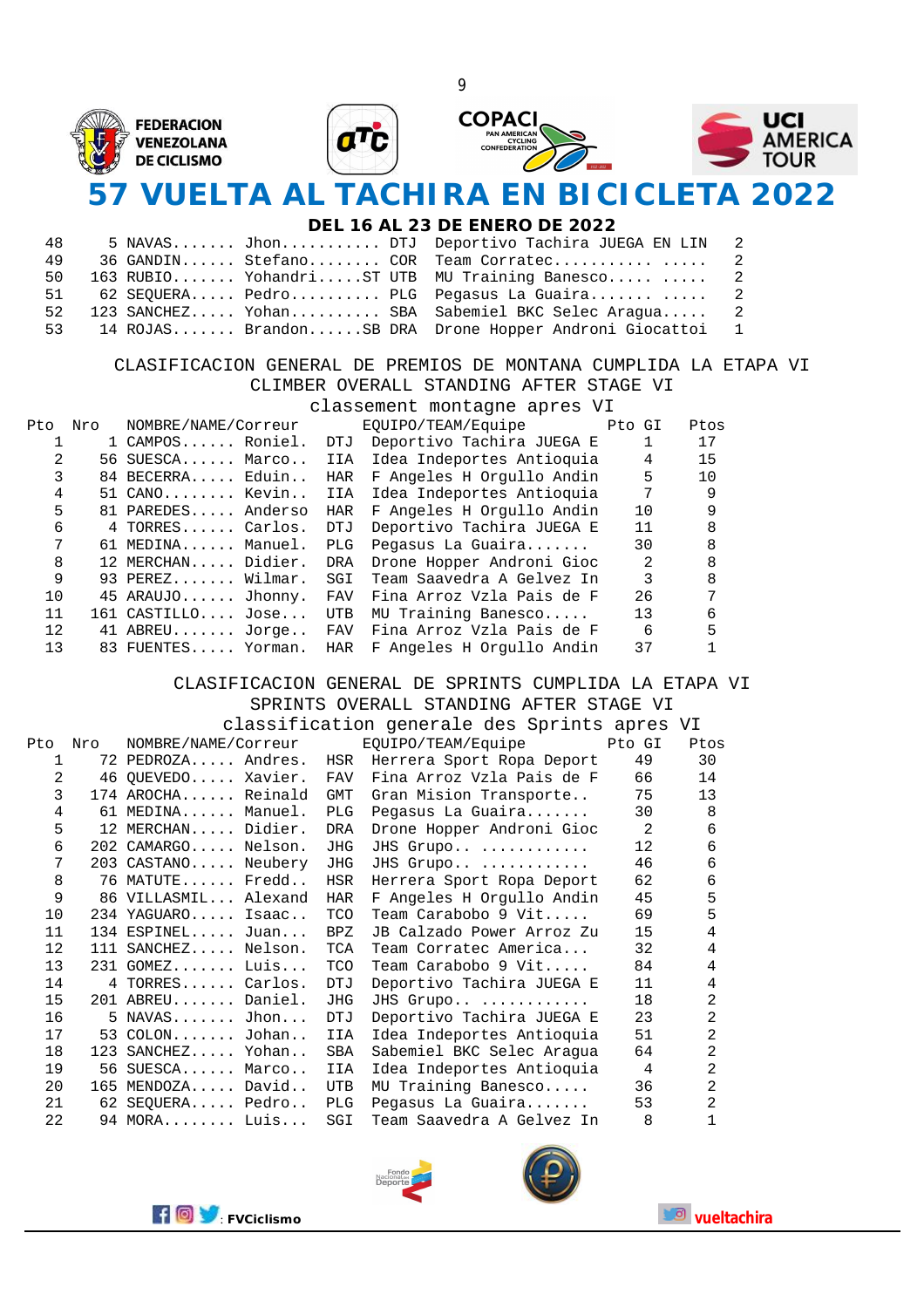

## **57 VUELTA AL TACHIRA EN BICICLETA 2022**

#### **DEL 16 AL 23 DE ENERO DE 2022**

| 48  |  |  | 5 NAVAS Jhon DTJ Deportivo Tachira JUEGA EN LIN 2       |  |
|-----|--|--|---------------------------------------------------------|--|
| 49  |  |  | 36 GANDIN Stefano COR Team Corratec 2                   |  |
| 50  |  |  | 163 RUBIO YohandriST UTB MU Training Banesco  2         |  |
| 51  |  |  | 62 SEOUERA Pedro PLG Pegasus La Guaira  2               |  |
| 52. |  |  | 123 SANCHEZ Yohan SBA Sabemiel BKC Selec Araqua 2       |  |
| 53  |  |  | 14 ROJAS BrandonSB DRA Drone Hopper Androni Giocattoi 1 |  |

#### CLASIFICACION GENERAL DE PREMIOS DE MONTANA CUMPLIDA LA ETAPA VI CLIMBER OVERALL STANDING AFTER STAGE VI

|     |     |                     |            | classement montagne apres VI |               |      |
|-----|-----|---------------------|------------|------------------------------|---------------|------|
| Pto | Nro | NOMBRE/NAME/Correur |            | EOUIPO/TEAM/Equipe Pto GI    |               | Ptos |
|     |     | 1 CAMPOS Roniel.    | DTJ        | Deportivo Tachira JUEGA E    | $\mathbf{1}$  | 17   |
| 2   |     | 56 SUESCA Marco     | IIA        | Idea Indeportes Antioquia    | 4             | 15   |
|     |     | 84 BECERRA Eduin    | HAR        | F Angeles H Orgullo Andin    | 5             | 10   |
| 4   |     | $51$ CANO Kevin     | IIA        | Idea Indeportes Antioquia    | 7             | 9    |
| 5   |     | 81 PAREDES Anderso  | HAR        | F Angeles H Orgullo Andin    | 10            | 9    |
| 6   |     | 4 TORRES Carlos.    | <b>DTJ</b> | Deportivo Tachira JUEGA E    | 11            | 8    |
| 7   |     | 61 MEDINA Manuel.   | <b>PLG</b> | Pegasus La Guaira            | 30            | 8    |
| 8   |     | 12 MERCHAN Didier.  | DRA        | Drone Hopper Androni Gioc    | 2             | 8    |
| 9   |     | 93 PEREZ Wilmar.    | SGI        | Team Saavedra A Gelvez In    | $\mathcal{R}$ | 8    |
| 10  |     | 45 ARAUJO Jhonny.   | FAV        | Fina Arroz Vzla Pais de F    | 26            | 7    |
| 11  |     | $161$ CASTILLO Jose | <b>UTB</b> | MU Training Banesco          | 13            | 6    |
| 12  |     | 41 ABREU Jorge      | FAV        | Fina Arroz Vzla Pais de F    | 6             | 5    |
| 13  |     | 83 FUENTES Yorman.  | HAR        | F Angeles H Orgullo Andin    | 37            |      |

#### CLASIFICACION GENERAL DE SPRINTS CUMPLIDA LA ETAPA VI SPRINTS OVERALL STANDING AFTER STAGE VI

classification generale des Sprints apres VI

| Pto | Nro | NOMBRE/NAME/Correur  |            | EQUIPO/TEAM/Equipe        | Pto GI | Ptos           |
|-----|-----|----------------------|------------|---------------------------|--------|----------------|
| 1   |     | 72 PEDROZA Andres.   | HSR        | Herrera Sport Ropa Deport | 49     | 30             |
| 2   |     | 46 QUEVEDO Xavier.   | <b>FAV</b> | Fina Arroz Vzla Pais de F | 66     | 14             |
| 3   |     | 174 AROCHA Reinald   | GMT        | Gran Mision Transporte    | 75     | 13             |
| 4   |     | 61 MEDINA Manuel.    | <b>PLG</b> | Pegasus La Guaira         | 30     | $\mathsf{R}$   |
| 5   |     | 12 MERCHAN Didier.   | <b>DRA</b> | Drone Hopper Androni Gioc | 2      | 6              |
| 6   |     | 202 CAMARGO Nelson.  | JHG        | JHS Grupo                 | 12     | 6              |
| 7   |     | 203 CASTANO Neubery  | <b>JHG</b> | JHS Grupo                 | 46     | 6              |
| 8   |     | 76 MATUTE Fredd      | HSR        | Herrera Sport Ropa Deport | 62     | 6              |
| 9   |     | 86 VILLASMIL Alexand | HAR        | F Angeles H Orgullo Andin | 45     | 5              |
| 10  |     | 234 YAGUARO Isaac    | <b>TCO</b> | Team Carabobo 9 Vit       | 69     | 5              |
| 11  |     | $134$ ESPINEL Juan   | BPZ        | JB Calzado Power Arroz Zu | 15     | 4              |
| 12  |     | 111 SANCHEZ Nelson.  | TCA        | Team Corratec America     | 32     | 4              |
| 13  |     | $231$ GOMEZ Luis     | <b>TCO</b> | Team Carabobo 9 Vit       | 84     | 4              |
| 14  |     | 4 TORRES Carlos.     | <b>DTJ</b> | Deportivo Tachira JUEGA E | 11     | 4              |
| 15  |     | 201 ABREU Daniel.    | JHG        | JHS Grupo                 | 18     | $\mathfrak{D}$ |
| 16  |     | $5$ NAVAS Jhon       | <b>DTJ</b> | Deportivo Tachira JUEGA E | 23     | 2              |
| 17  |     | $53$ COLON Johan     | IIA        | Idea Indeportes Antioquia | 51     | 2              |
| 18  |     | 123 SANCHEZ Yohan    | <b>SBA</b> | Sabemiel BKC Selec Araqua | 64     | 2              |
| 19  |     | 56 SUESCA Marco      | IIA        | Idea Indeportes Antioquia | 4      | $\overline{2}$ |
| 20  |     | 165 MENDOZA David    | UTB        | MU Training Banesco       | 36     | $\overline{2}$ |
| 21  |     | 62 SEQUERA Pedro     | PLG        | Pegasus La Guaira         | 53     | 2              |
| 22  |     | 94 MORA Luis         | SGI        | Team Saavedra A Gelvez In | 8      |                |





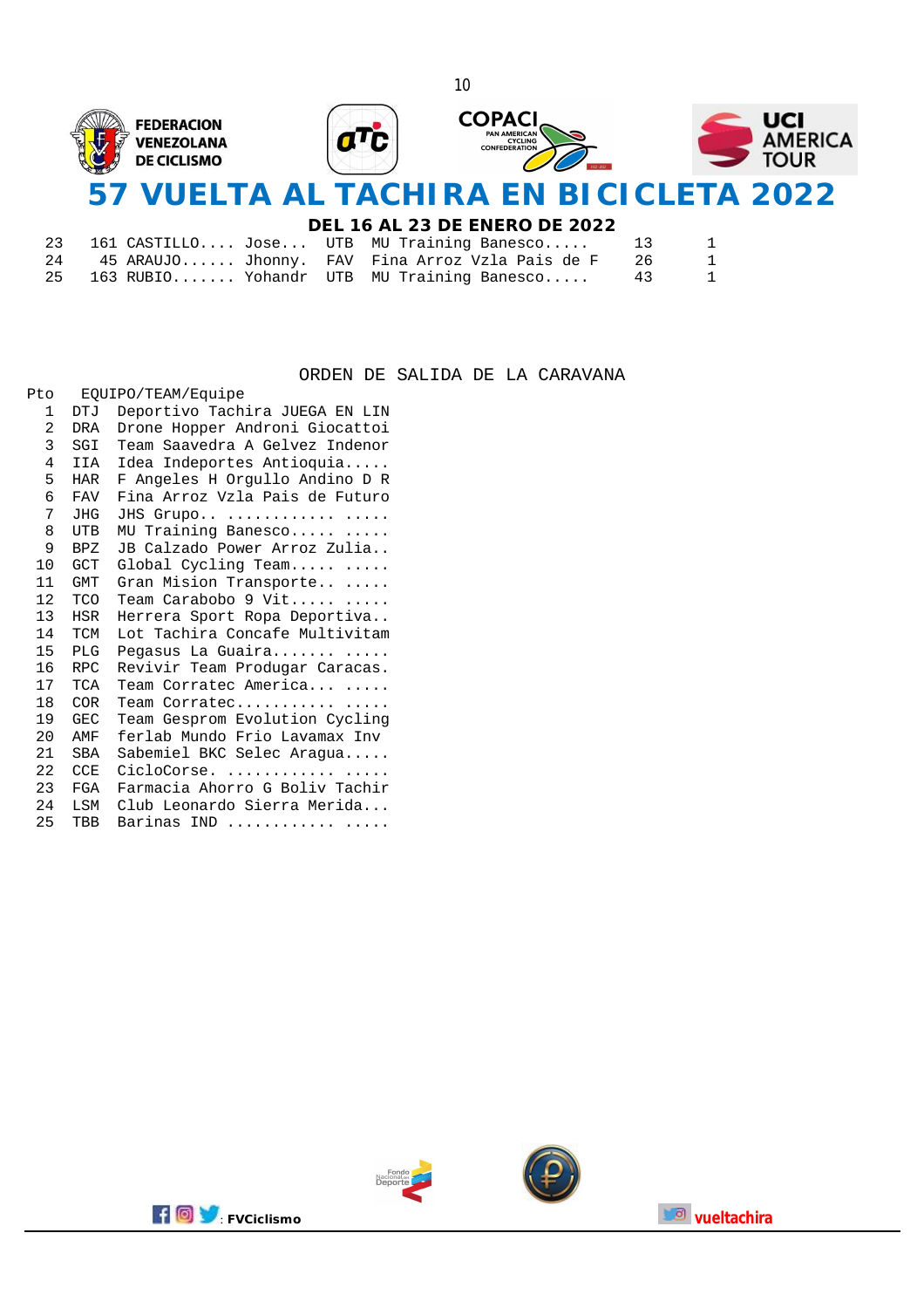

#### **DEL 16 AL 23 DE ENERO DE 2022**

|    |  | 23   161 CASTILLO Jose UTB MU Training Banesco    | 13   | 1 |
|----|--|---------------------------------------------------|------|---|
| 24 |  | 45 ARAUJO Jhonny.  FAV  Fina Arroz Vzla Pais de F | - 26 |   |
|    |  | 25 163 RUBIO Yohandr UTB MU Training Banesco 43   |      | 1 |

#### ORDEN DE SALIDA DE LA CARAVANA

| Pto             |            | EQUIPO/TEAM/Equipe             |
|-----------------|------------|--------------------------------|
| 1               | DTJ        | Deportivo Tachira JUEGA EN LIN |
| 2               | DRA        | Drone Hopper Androni Giocattoi |
| 3               | SGI        | Team Saavedra A Gelvez Indenor |
| 4               | IIA        | Idea Indeportes Antioquia      |
| 5               | <b>HAR</b> | F Angeles H Orgullo Andino D R |
| 6               | <b>FAV</b> | Fina Arroz Vzla Pais de Futuro |
| 7               | JHG        | JHS Grupo                      |
| 8               | <b>UTB</b> | MU Training Banesco            |
| 9               | <b>BPZ</b> | JB Calzado Power Arroz Zulia   |
| 10              | <b>GCT</b> | Global Cycling Team            |
| 11              | GMT        | Gran Mision Transporte         |
| 12 <sup>1</sup> | <b>TCO</b> | Team Carabobo 9 Vit            |
| 13              | <b>HSR</b> | Herrera Sport Ropa Deportiva   |
| 14              | TCM        | Lot Tachira Concafe Multivitam |
| 15              | <b>PLG</b> | Pegasus La Guaira              |
| 16              | <b>RPC</b> | Revivir Team Produgar Caracas. |
| 17              | TCA        | Team Corratec America          |
| 18              | COR.       | Team Corratec                  |
| 19              | <b>GEC</b> | Team Gesprom Evolution Cycling |
| 20              | AMF        | ferlab Mundo Frio Lavamax Inv  |
| 21              | <b>SBA</b> | Sabemiel BKC Selec Aragua      |
| 22              | CCE.       | CicloCorse.                    |
| 23              | FGA        | Farmacia Ahorro G Boliv Tachir |
| 24              | LSM        | Club Leonardo Sierra Merida    |
| 25              | TBB        | Barinas IND                    |



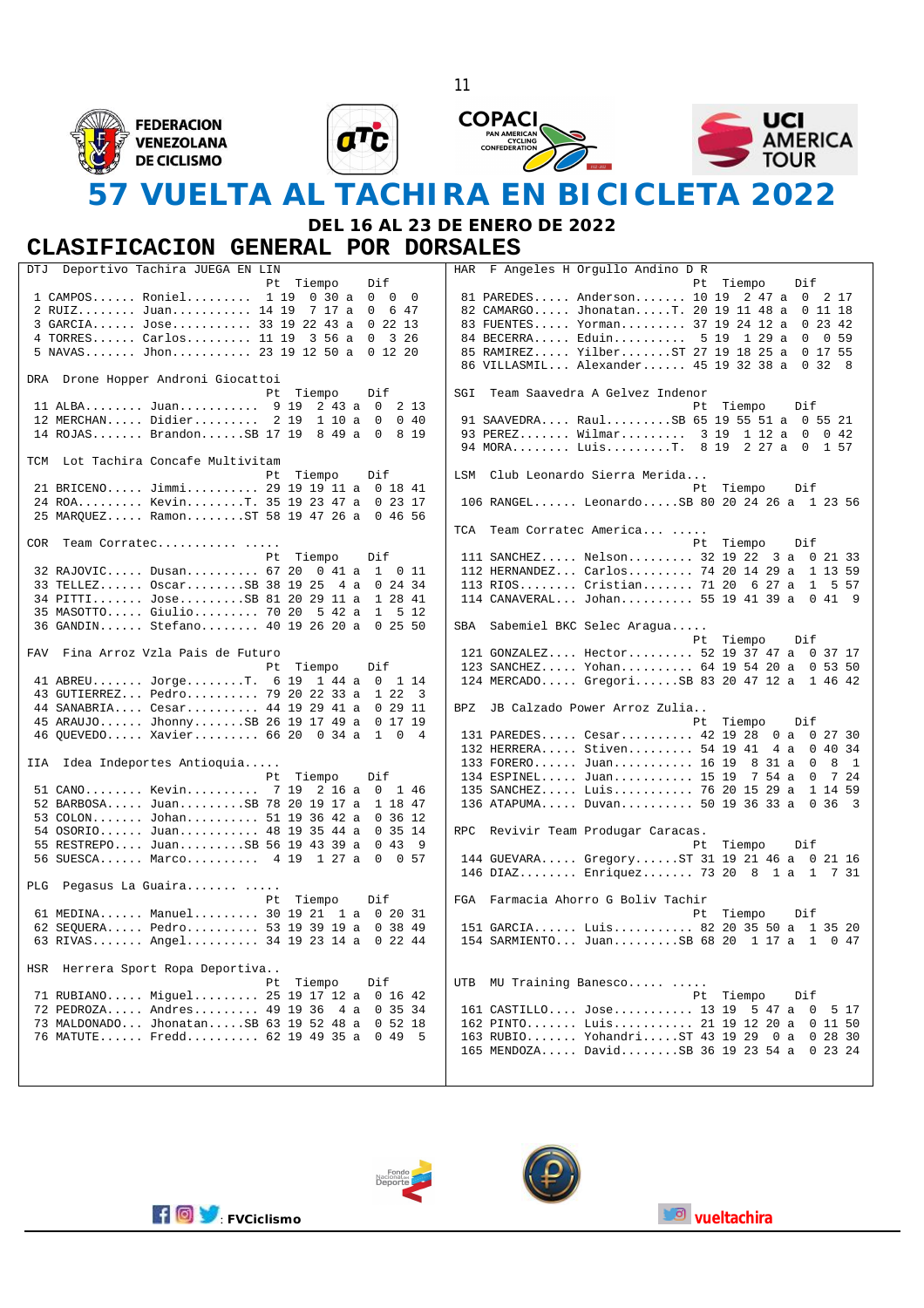







## **57 VUELTA AL TACHIRA EN BICICLETA 2022**

11

### **DEL 16 AL 23 DE ENERO DE 2022**

#### **CLASIFICACION GENERAL POR DORSALES**

| Deportivo Tachira JUEGA EN LIN<br>DTJ             | HAR F Angeles H Orgullo Andino D R                 |
|---------------------------------------------------|----------------------------------------------------|
| Pt Tiempo<br>Dif                                  | Pt Tiempo<br>Dif                                   |
| 1 CAMPOS Roniel 1 19 0 30 a 0 0<br>$\bigcirc$     | 81 PAREDES Anderson 10 19 2 47 a 0 2 17            |
| 2 RUIZ Juan 14 19 7 17 a<br>0 6 4 7               | 82 CAMARGO JhonatanT. 20 19 11 48 a 0 11 18        |
| 3 GARCIA Jose 33 19 22 43 a<br>0, 22, 13          | 83 FUENTES Yorman 37 19 24 12 a 0 23 42            |
| 4 TORRES Carlos 11 19 3 56 a<br>$\Omega$<br>3 26  | 84 BECERRA Eduin 5 19 1 29 a 0<br>0 59             |
| 5 NAVAS Jhon 23 19 12 50 a 0 12 20                | 85 RAMIREZ YilberST 27 19 18 25 a 0 17 55          |
|                                                   | 86 VILLASMIL Alexander 45 19 32 38 a 0 32 8        |
|                                                   |                                                    |
| DRA Drone Hopper Androni Giocattoi                |                                                    |
| Pt Tiempo<br>Dif                                  | SGI Team Saavedra A Gelvez Indenor                 |
| 11 ALBA Juan 9 19<br>$2, 43$ a 0 2 13             | Pt.<br>Tiempo<br>Dif                               |
| 12 MERCHAN Didier 2 19 1 10 a<br>$\Omega$<br>0.40 | 91 SAAVEDRA RaulSB 65 19 55 51 a 0 55 21           |
| 14 ROJAS BrandonSB 17 19 8 49 a 0<br>8 19         | 93 PEREZ Wilmar 3 19 1 12 a 0<br>$0\;42$           |
|                                                   | 94 MORA LuisT. 8 19 2 27 a 0 1 57                  |
| TCM Lot Tachira Concafe Multivitam                |                                                    |
| Pt Tiempo<br>Dif                                  | LSM Club Leonardo Sierra Merida                    |
| 21 BRICENO Jimmi 29 19 19 11 a 0 18 41            | Pt Tiempo<br>Dif                                   |
| 24 ROA KevinT. 35 19 23 47 a 0 23 17              | 106 RANGEL LeonardoSB 80 20 24 26 a 1 23 56        |
| 25 MARQUEZ RamonST 58 19 47 26 a 0 46 56          |                                                    |
|                                                   | TCA Team Corratec America                          |
| COR Team Corratec                                 | Pt Tiempo<br>Dif                                   |
|                                                   |                                                    |
| Pt.<br>Tiempo<br>Dif                              | 111 SANCHEZ Nelson 32 19 22 3 a 0 21 33            |
| 32 RAJOVIC Dusan 67 20 0 41 a 1 0 11              | 112 HERNANDEZ Carlos 74 20 14 29 a 1 13 59         |
| 33 TELLEZ OscarSB 38 19 25<br>4 a 0 24 34         | 113 RIOS Cristian 71 20 6 27 a<br>1 5 5 7          |
| 34 PITTI JoseSB 81 20 29 11 a 1 28 41             | 114 CANAVERAL Johan 55 19 41 39 a 0 41 9           |
| 35 MASOTTO Giulio 70 20 5 42 a 1 5 12             |                                                    |
| 36 GANDIN Stefano 40 19 26 20 a 0 25 50           | SBA Sabemiel BKC Selec Aragua                      |
|                                                   | Pt Tiempo<br>Dif                                   |
| FAV Fina Arroz Vzla Pais de Futuro                | 121 GONZALEZ Hector 52 19 37 47 a 0 37 17          |
| Pt Tiempo<br>Dif                                  | 123 SANCHEZ Yohan 64 19 54 20 a 0 53 50            |
| 41 ABREU JorgeT. 6 19 1 44 a 0 1 14               | 124 MERCADO GregoriSB 83 20 47 12 a 1 46 42        |
| 43 GUTIERREZ Pedro 79 20 22 33 a 1 22 3           |                                                    |
| 44 SANABRIA Cesar 44 19 29 41 a 0 29 11           | BPZ JB Calzado Power Arroz Zulia                   |
| 45 ARAUJO JhonnySB 26 19 17 49 a 0 17 19          | Pt.<br>Tiempo<br>Dif                               |
|                                                   |                                                    |
| 46 OUEVEDO Xavier 66 20 0 34 a 1 0 4              | 131 PAREDES Cesar 42 19 28 0 a 0 27 30             |
|                                                   | 132 HERRERA Stiven 54 19 41<br>4 a 0 40 34         |
| IIA Idea Indeportes Antioquia                     | 133 FORERO Juan 16 19 8 31 a 0<br>8 1              |
| Pt Tiempo<br>Dif                                  | 134 ESPINEL Juan 15 19 7 54 a 0<br>7 24            |
| 51 CANO Kevin 7 19 2 16 a 0 1 46                  | 135 SANCHEZ Luis 76 20 15 29 a<br>1 14 59          |
| 52 BARBOSA JuanSB 78 20 19 17 a 1 18 47           | 136 ATAPUMA Duvan 50 19 36 33 a<br>0, 36, 3        |
| 53 COLON Johan 51 19 36 42 a 0 36 12              |                                                    |
| 54 OSORIO Juan 48 19 35 44 a 0 35 14              | RPC Revivir Team Produgar Caracas.                 |
| 55 RESTREPO JuanSB 56 19 43 39 a 0 43 9           | Pt Tiempo<br>Dif                                   |
| 56 SUESCA Marco 4 19 1 27 a<br>$\Omega$<br>0 57   | 144 GUEVARA GregoryST 31 19 21 46 a 0 21 16        |
|                                                   | 146 DIAZ Enriquez 73 20 8 1 a 1 7 31               |
| PLG Pegasus La Guaira                             |                                                    |
|                                                   |                                                    |
| Pt.<br>Tiempo<br>Dif                              | FGA Farmacia Ahorro G Boliv Tachir                 |
| 61 MEDINA Manuel 30 19 21 1 a 0 20 31             | Pt Tiempo<br>Dif                                   |
| 62 SEQUERA Pedro 53 19 39 19 a 0 38 49            | 151 GARCIA Luis 82 20 35 50 a 1 35 20              |
| 63 RIVAS Angel 34 19 23 14 a 0 22 44              | 154 SARMIENTO JuanSB 68 20 1 17 a 1 0 47           |
|                                                   |                                                    |
| HSR Herrera Sport Ropa Deportiva                  |                                                    |
| Pt<br>Tiempo<br>Dif                               | MU Training Banesco<br>UTB                         |
| 71 RUBIANO Miquel 25 19 17 12 a 0 16 42           | Pt Tiempo<br>Dif                                   |
| 72 PEDROZA Andres 49 19 36 4 a 0 35 34            | 161 CASTILLO Jose 13 19 5 47 a<br>5 17<br>$\Omega$ |
| 73 MALDONADO JhonatanSB 63 19 52 48 a 0 52 18     | 162 PINTO Luis 21 19 12 20 a 0 11 50               |
| 76 MATUTE Fredd 62 19 49 35 a<br>0, 49, 5         | 163 RUBIO YohandriST 43 19 29<br>0a<br>0, 28, 30   |
|                                                   | 165 MENDOZA DavidSB 36 19 23 54 a 0 23 24          |
|                                                   |                                                    |
|                                                   |                                                    |